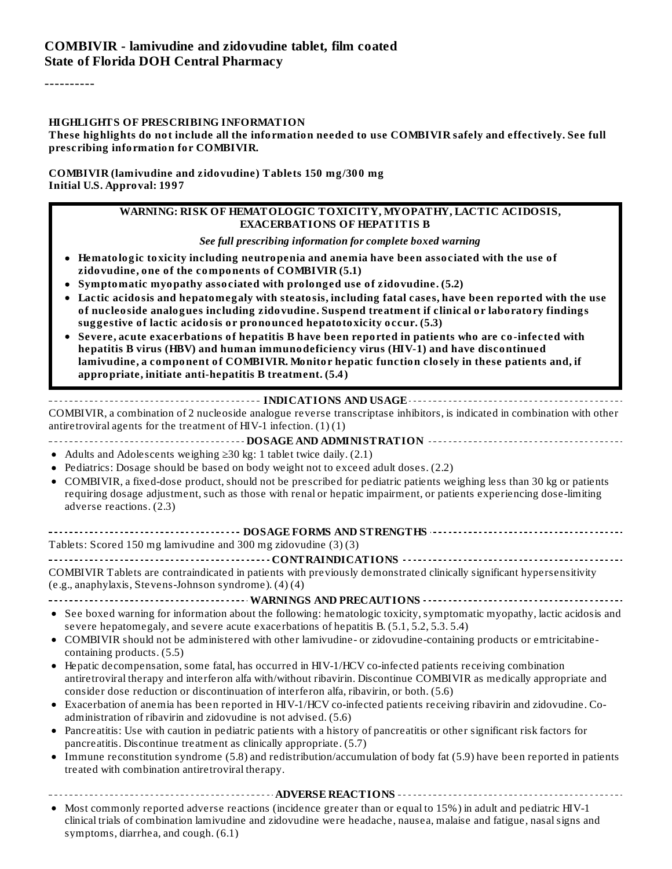#### **COMBIVIR - lamivudine and zidovudine tablet, film coated State of Florida DOH Central Pharmacy**

----------

#### **HIGHLIGHTS OF PRESCRIBING INFORMATION**

These highlights do not include all the information needed to use COMBIVIR safely and effectively. See full **prescribing information for COMBIVIR.**

#### **COMBIVIR (lamivudine and zidovudine) Tablets 150 mg/300 mg Initial U.S. Approval: 1997**

#### **WARNING: RISK OF HEMATOLOGIC TOXICITY, MYOPATHY, LACTIC ACIDOSIS, EXACERBATIONS OF HEPATITIS B**

*See full prescribing information for complete boxed warning*

- **Hematologic toxicity including neutropenia and anemia have been associated with the use of zidovudine, one of the components of COMBIVIR (5.1)**
- **Symptomatic myopathy associated with prolonged use of zidovudine. (5.2)**
- **Lactic acidosis and hepatomegaly with steatosis, including fatal cases, have been reported with the use of nucleoside analogues including zidovudine. Suspend treatment if clinical or laboratory findings suggestive of lactic acidosis or pronounced hepatotoxicity occur. (5.3)**
- **Severe, acute exacerbations of hepatitis B have been reported in patients who are co-infected with hepatitis B virus (HBV) and human immunodeficiency virus (HIV-1) and have discontinued lamivudine, a component of COMBIVIR. Monitor hepatic function closely in these patients and, if appropriate, initiate anti-hepatitis B treatment. (5.4)**

#### **INDICATIONS AND USAGE**

COMBIVIR, a combination of 2 nucleoside analogue reverse transcriptase inhibitors, is indicated in combination with other antiretroviral agents for the treatment of HIV-1 infection.  $(1)(1)$ 

#### **DOSAGE AND ADMINISTRATION**

- Adults and Adolescents weighing ≥30 kg: 1 tablet twice daily. (2.1)
- Pediatrics: Dosage should be based on body weight not to exceed adult doses. (2.2)
- COMBIVIR, a fixed-dose product, should not be prescribed for pediatric patients weighing less than 30 kg or patients requiring dosage adjustment, such as those with renal or hepatic impairment, or patients experiencing dose-limiting adverse reactions. (2.3)

| Tablets: Scored 150 mg lamivudine and 300 mg zidovudine (3)(3) |
|----------------------------------------------------------------|

#### **CONTRAINDICATIONS**

COMBIVIR Tablets are contraindicated in patients with previously demonstrated clinically significant hypersensitivity (e.g., anaphylaxis, Stevens-Johnson syndrome). (4) (4)

- **WARNINGS AND PRECAUTIONS**
- See boxed warning for information about the following: hematologic toxicity, symptomatic myopathy, lactic acidosis and severe hepatomegaly, and severe acute exacerbations of hepatitis B. (5.1, 5.2, 5.3. 5.4)
- COMBIVIR should not be administered with other lamivudine- or zidovudine-containing products or emtricitabinecontaining products. (5.5)
- Hepatic decompensation, some fatal, has occurred in HIV-1/HCV co-infected patients receiving combination antiretroviral therapy and interferon alfa with/without ribavirin. Discontinue COMBIVIR as medically appropriate and consider dose reduction or discontinuation of interferon alfa, ribavirin, or both. (5.6)
- Exacerbation of anemia has been reported in HIV-1/HCV co-infected patients receiving ribavirin and zidovudine. Coadministration of ribavirin and zidovudine is not advised. (5.6)
- Pancreatitis: Use with caution in pediatric patients with a history of pancreatitis or other significant risk factors for  $\bullet$ pancreatitis. Discontinue treatment as clinically appropriate. (5.7)
- Immune reconstitution syndrome (5.8) and redistribution/accumulation of body fat (5.9) have been reported in patients  $\bullet$ treated with combination antiretroviral therapy.

**ADVERSE REACTIONS**

• Most commonly reported adverse reactions (incidence greater than or equal to 15%) in adult and pediatric HIV-1 clinical trials of combination lamivudine and zidovudine were headache, nausea, malaise and fatigue, nasalsigns and symptoms, diarrhea, and cough. (6.1)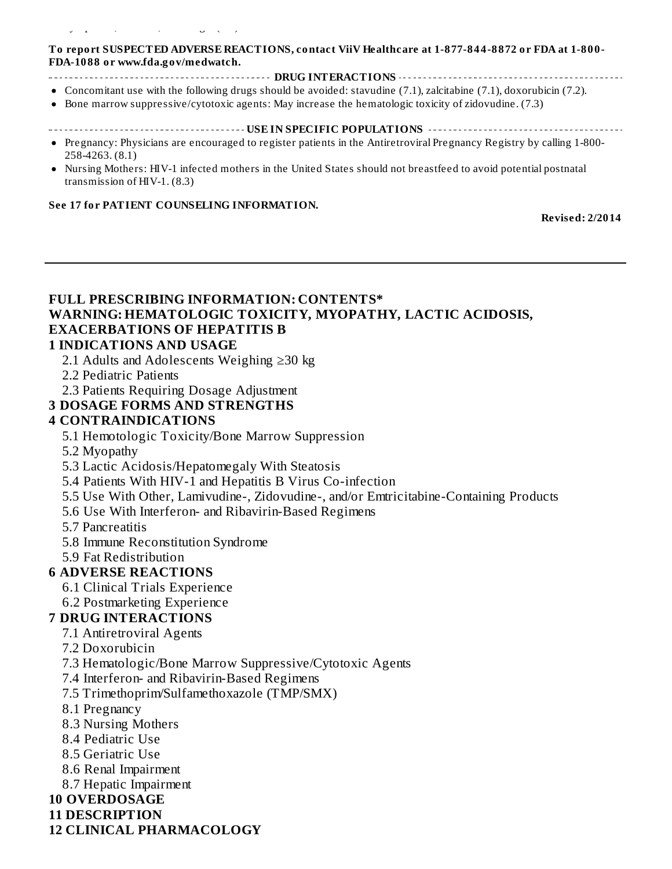#### symptoms, diarrhea, and cough. (6.1)

#### **To report SUSPECTED ADVERSE REACTIONS, contact ViiV Healthcare at 1-877-844-8872 or FDA at 1-800- FDA-1088 or www.fda.gov/medwatch.**

- **DRUG INTERACTIONS**
- Concomitant use with the following drugs should be avoided: stavudine (7.1), zalcitabine (7.1), doxorubicin (7.2).
- Bone marrow suppressive/cytotoxic agents: May increase the hematologic toxicity of zidovudine. (7.3)  $\bullet$

#### **USE IN SPECIFIC POPULATIONS**

- Pregnancy: Physicians are encouraged to register patients in the Antiretroviral Pregnancy Registry by calling 1-800- 258-4263. (8.1)
- Nursing Mothers: HIV-1 infected mothers in the United States should not breastfeed to avoid potential postnatal transmission of HIV-1. (8.3)

#### **See 17 for PATIENT COUNSELING INFORMATION.**

**Revised: 2/2014**

## **FULL PRESCRIBING INFORMATION: CONTENTS\* WARNING: HEMATOLOGIC TOXICITY, MYOPATHY, LACTIC ACIDOSIS, EXACERBATIONS OF HEPATITIS B**

#### **1 INDICATIONS AND USAGE**

- 2.1 Adults and Adolescents Weighing ≥30 kg
- 2.2 Pediatric Patients
- 2.3 Patients Requiring Dosage Adjustment

#### **3 DOSAGE FORMS AND STRENGTHS**

#### **4 CONTRAINDICATIONS**

- 5.1 Hemotologic Toxicity/Bone Marrow Suppression
- 5.2 Myopathy
- 5.3 Lactic Acidosis/Hepatomegaly With Steatosis
- 5.4 Patients With HIV-1 and Hepatitis B Virus Co-infection
- 5.5 Use With Other, Lamivudine-, Zidovudine-, and/or Emtricitabine-Containing Products
- 5.6 Use With Interferon- and Ribavirin-Based Regimens
- 5.7 Pancreatitis
- 5.8 Immune Reconstitution Syndrome
- 5.9 Fat Redistribution

#### **6 ADVERSE REACTIONS**

- 6.1 Clinical Trials Experience
- 6.2 Postmarketing Experience

#### **7 DRUG INTERACTIONS**

- 7.1 Antiretroviral Agents
- 7.2 Doxorubicin
- 7.3 Hematologic/Bone Marrow Suppressive/Cytotoxic Agents
- 7.4 Interferon- and Ribavirin-Based Regimens
- 7.5 Trimethoprim/Sulfamethoxazole (TMP/SMX)
- 8.1 Pregnancy
- 8.3 Nursing Mothers
- 8.4 Pediatric Use
- 8.5 Geriatric Use
- 8.6 Renal Impairment
- 8.7 Hepatic Impairment
- **10 OVERDOSAGE**
- **11 DESCRIPTION**

#### **12 CLINICAL PHARMACOLOGY**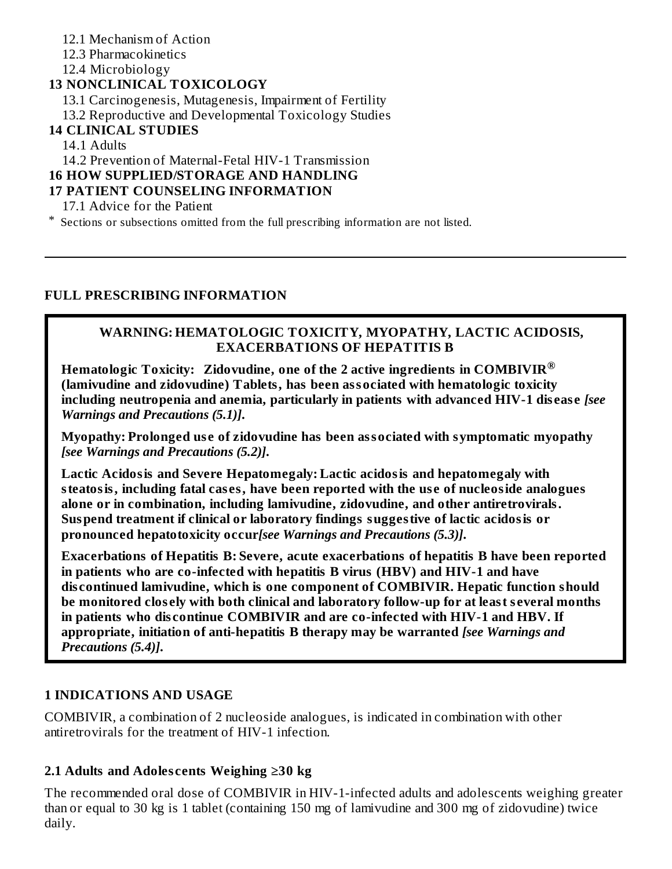- 12.1 Mechanism of Action
- 12.3 Pharmacokinetics

12.4 Microbiology

### **13 NONCLINICAL TOXICOLOGY**

13.1 Carcinogenesis, Mutagenesis, Impairment of Fertility

13.2 Reproductive and Developmental Toxicology Studies

#### **14 CLINICAL STUDIES**

14.1 Adults

14.2 Prevention of Maternal-Fetal HIV-1 Transmission

#### **16 HOW SUPPLIED/STORAGE AND HANDLING**

#### **17 PATIENT COUNSELING INFORMATION**

17.1 Advice for the Patient

\* Sections or subsections omitted from the full prescribing information are not listed.

#### **FULL PRESCRIBING INFORMATION**

#### **WARNING: HEMATOLOGIC TOXICITY, MYOPATHY, LACTIC ACIDOSIS, EXACERBATIONS OF HEPATITIS B**

**Hematologic Toxicity: Zidovudine, one of the 2 active ingredients in COMBIVIR ®(lamivudine and zidovudine) Tablets, has been associated with hematologic toxicity including neutropenia and anemia, particularly in patients with advanced HIV-1 dis eas e** *[see Warnings and Precautions (5.1)]***.**

**Myopathy: Prolonged us e of zidovudine has been associated with symptomatic myopathy** *[see Warnings and Precautions (5.2)]***.**

**Lactic Acidosis and Severe Hepatomegaly: Lactic acidosis and hepatomegaly with steatosis, including fatal cas es, have been reported with the us e of nucleoside analogues alone or in combination, including lamivudine, zidovudine, and other antiretrovirals. Suspend treatment if clinical or laboratory findings suggestive of lactic acidosis or pronounced hepatotoxicity occur***[see Warnings and Precautions (5.3)]***.**

**Exacerbations of Hepatitis B: Severe, acute exacerbations of hepatitis B have been reported in patients who are co-infected with hepatitis B virus (HBV) and HIV-1 and have dis continued lamivudine, which is one component of COMBIVIR. Hepatic function should be monitored clos ely with both clinical and laboratory follow-up for at least s everal months in patients who dis continue COMBIVIR and are co-infected with HIV-1 and HBV. If appropriate, initiation of anti-hepatitis B therapy may be warranted** *[see Warnings and Precautions (5.4)]***.**

### **1 INDICATIONS AND USAGE**

COMBIVIR, a combination of 2 nucleoside analogues, is indicated in combination with other antiretrovirals for the treatment of HIV-1 infection.

### **2.1 Adults and Adoles cents Weighing ≥30 kg**

The recommended oral dose of COMBIVIR in HIV-1-infected adults and adolescents weighing greater than or equal to 30 kg is 1 tablet (containing 150 mg of lamivudine and 300 mg of zidovudine) twice daily.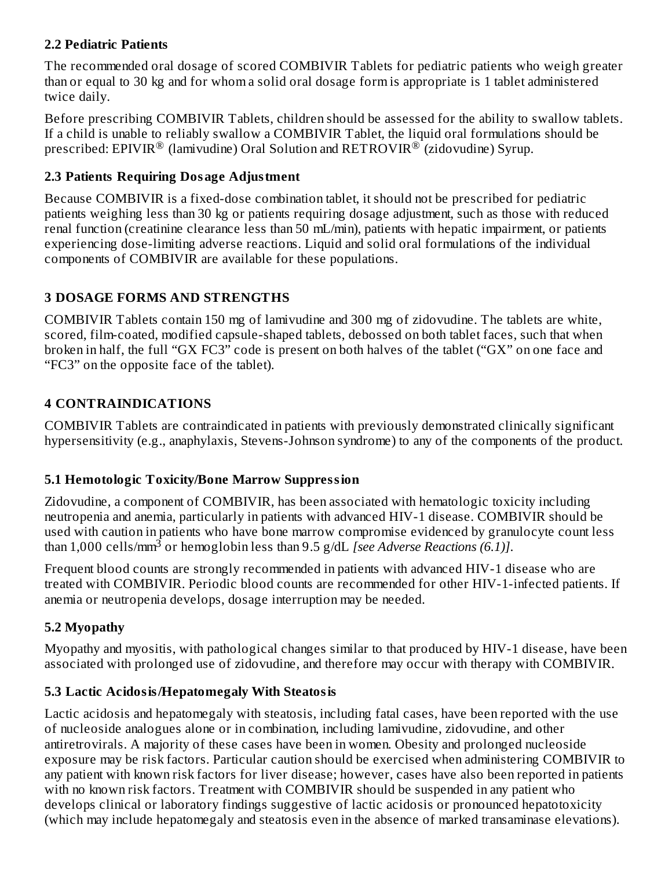### **2.2 Pediatric Patients**

The recommended oral dosage of scored COMBIVIR Tablets for pediatric patients who weigh greater than or equal to 30 kg and for whom a solid oral dosage form is appropriate is 1 tablet administered twice daily.

Before prescribing COMBIVIR Tablets, children should be assessed for the ability to swallow tablets. If a child is unable to reliably swallow a COMBIVIR Tablet, the liquid oral formulations should be prescribed: EPIVIR $^\circledR$  (lamivudine) Oral Solution and RETROVIR $^\circledR$  (zidovudine) Syrup.

## **2.3 Patients Requiring Dosage Adjustment**

Because COMBIVIR is a fixed-dose combination tablet, it should not be prescribed for pediatric patients weighing less than 30 kg or patients requiring dosage adjustment, such as those with reduced renal function (creatinine clearance less than 50 mL/min), patients with hepatic impairment, or patients experiencing dose-limiting adverse reactions. Liquid and solid oral formulations of the individual components of COMBIVIR are available for these populations.

## **3 DOSAGE FORMS AND STRENGTHS**

COMBIVIR Tablets contain 150 mg of lamivudine and 300 mg of zidovudine. The tablets are white, scored, film-coated, modified capsule-shaped tablets, debossed on both tablet faces, such that when broken in half, the full "GX FC3" code is present on both halves of the tablet ("GX" on one face and "FC3" on the opposite face of the tablet).

# **4 CONTRAINDICATIONS**

COMBIVIR Tablets are contraindicated in patients with previously demonstrated clinically significant hypersensitivity (e.g., anaphylaxis, Stevens-Johnson syndrome) to any of the components of the product.

# **5.1 Hemotologic Toxicity/Bone Marrow Suppression**

Zidovudine, a component of COMBIVIR, has been associated with hematologic toxicity including neutropenia and anemia, particularly in patients with advanced HIV-1 disease. COMBIVIR should be used with caution in patients who have bone marrow compromise evidenced by granulocyte count less than 1,000 cells/mm<sup>3</sup> or hemoglobin less than 9.5 g/dL *[see Adverse Reactions (6.1)]*.

Frequent blood counts are strongly recommended in patients with advanced HIV-1 disease who are treated with COMBIVIR. Periodic blood counts are recommended for other HIV-1-infected patients. If anemia or neutropenia develops, dosage interruption may be needed.

# **5.2 Myopathy**

Myopathy and myositis, with pathological changes similar to that produced by HIV-1 disease, have been associated with prolonged use of zidovudine, and therefore may occur with therapy with COMBIVIR.

## **5.3 Lactic Acidosis/Hepatomegaly With Steatosis**

Lactic acidosis and hepatomegaly with steatosis, including fatal cases, have been reported with the use of nucleoside analogues alone or in combination, including lamivudine, zidovudine, and other antiretrovirals. A majority of these cases have been in women. Obesity and prolonged nucleoside exposure may be risk factors. Particular caution should be exercised when administering COMBIVIR to any patient with known risk factors for liver disease; however, cases have also been reported in patients with no known risk factors. Treatment with COMBIVIR should be suspended in any patient who develops clinical or laboratory findings suggestive of lactic acidosis or pronounced hepatotoxicity (which may include hepatomegaly and steatosis even in the absence of marked transaminase elevations).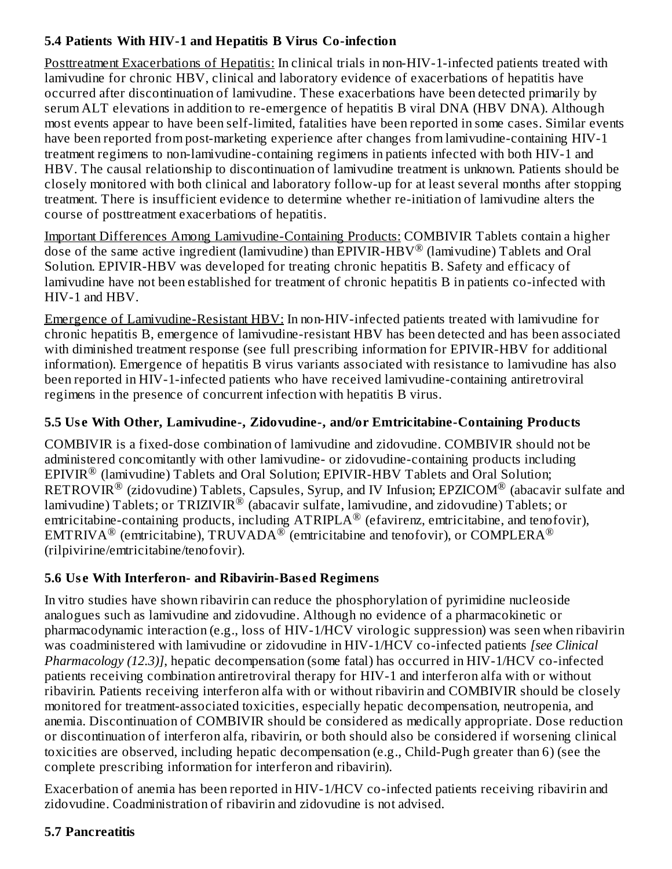## **5.4 Patients With HIV-1 and Hepatitis B Virus Co-infection**

Posttreatment Exacerbations of Hepatitis: In clinical trials in non-HIV-1-infected patients treated with lamivudine for chronic HBV, clinical and laboratory evidence of exacerbations of hepatitis have occurred after discontinuation of lamivudine. These exacerbations have been detected primarily by serum ALT elevations in addition to re-emergence of hepatitis B viral DNA (HBV DNA). Although most events appear to have been self-limited, fatalities have been reported in some cases. Similar events have been reported from post-marketing experience after changes from lamivudine-containing HIV-1 treatment regimens to non-lamivudine-containing regimens in patients infected with both HIV-1 and HBV. The causal relationship to discontinuation of lamivudine treatment is unknown. Patients should be closely monitored with both clinical and laboratory follow-up for at least several months after stopping treatment. There is insufficient evidence to determine whether re-initiation of lamivudine alters the course of posttreatment exacerbations of hepatitis.

Important Differences Among Lamivudine-Containing Products: COMBIVIR Tablets contain a higher dose of the same active ingredient (lamivudine) than EPIVIR-HBV® (lamivudine) Tablets and Oral Solution. EPIVIR-HBV was developed for treating chronic hepatitis B. Safety and efficacy of lamivudine have not been established for treatment of chronic hepatitis B in patients co-infected with HIV-1 and HBV.

Emergence of Lamivudine-Resistant HBV: In non-HIV-infected patients treated with lamivudine for chronic hepatitis B, emergence of lamivudine-resistant HBV has been detected and has been associated with diminished treatment response (see full prescribing information for EPIVIR-HBV for additional information). Emergence of hepatitis B virus variants associated with resistance to lamivudine has also been reported in HIV-1-infected patients who have received lamivudine-containing antiretroviral regimens in the presence of concurrent infection with hepatitis B virus.

## **5.5 Us e With Other, Lamivudine-, Zidovudine-, and/or Emtricitabine-Containing Products**

COMBIVIR is a fixed-dose combination of lamivudine and zidovudine. COMBIVIR should not be administered concomitantly with other lamivudine- or zidovudine-containing products including  $EPIVIR^®$  (lamivudine) Tablets and Oral Solution;  $EPIVIR-HBV$  Tablets and Oral Solution;  $\mathsf{RETROVIR}^\circledR$  (zidovudine) Tablets, Capsules, Syrup, and IV Infusion; EPZICOM $^\circledR$  (abacavir sulfate and lamivudine) Tablets; or TRIZIVIR $^\circledR$  (abacavir sulfate, lamivudine, and zidovudine) Tablets; or emtricitabine-containing products, including  $\text{ATRIPLA}^{\circledR}$  (efavirenz, emtricitabine, and tenofovir),  $\mathop{\rm EMTRIVA}\nolimits^\circledR$  (emtricitabine),  $\mathop{\rm TRUVADA}\nolimits^\circledR$  (emtricitabine and tenofovir), or  $\mathop{\rm COMPLERA}\nolimits^\circledR$ (rilpivirine/emtricitabine/tenofovir).

## **5.6 Us e With Interferon- and Ribavirin-Bas ed Regimens**

In vitro studies have shown ribavirin can reduce the phosphorylation of pyrimidine nucleoside analogues such as lamivudine and zidovudine. Although no evidence of a pharmacokinetic or pharmacodynamic interaction (e.g., loss of HIV-1/HCV virologic suppression) was seen when ribavirin was coadministered with lamivudine or zidovudine in HIV-1/HCV co-infected patients *[see Clinical Pharmacology (12.3)]*, hepatic decompensation (some fatal) has occurred in HIV-1/HCV co-infected patients receiving combination antiretroviral therapy for HIV-1 and interferon alfa with or without ribavirin. Patients receiving interferon alfa with or without ribavirin and COMBIVIR should be closely monitored for treatment-associated toxicities, especially hepatic decompensation, neutropenia, and anemia. Discontinuation of COMBIVIR should be considered as medically appropriate. Dose reduction or discontinuation of interferon alfa, ribavirin, or both should also be considered if worsening clinical toxicities are observed, including hepatic decompensation (e.g., Child-Pugh greater than 6) (see the complete prescribing information for interferon and ribavirin).

Exacerbation of anemia has been reported in HIV-1/HCV co-infected patients receiving ribavirin and zidovudine. Coadministration of ribavirin and zidovudine is not advised.

### **5.7 Pancreatitis**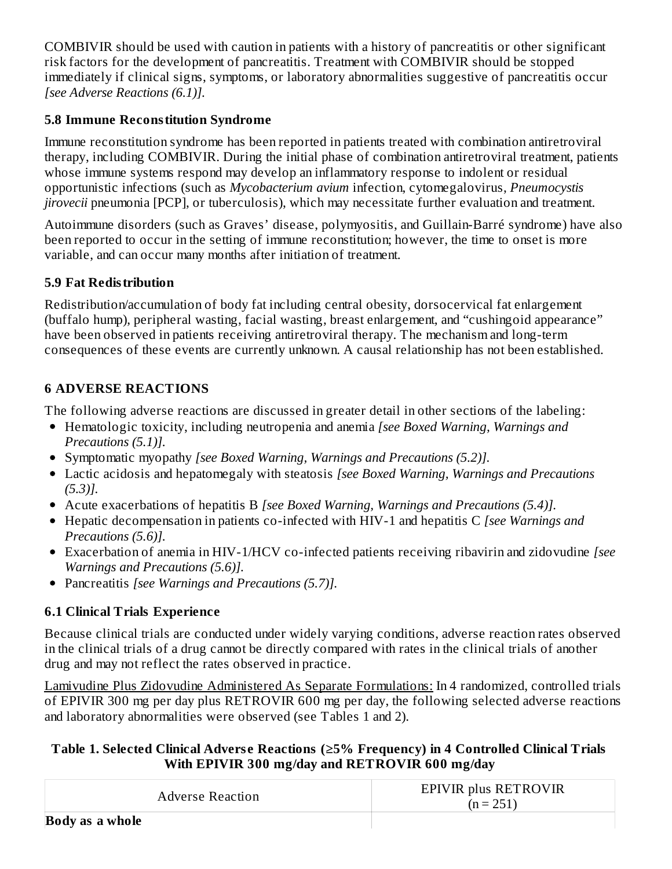COMBIVIR should be used with caution in patients with a history of pancreatitis or other significant risk factors for the development of pancreatitis. Treatment with COMBIVIR should be stopped immediately if clinical signs, symptoms, or laboratory abnormalities suggestive of pancreatitis occur *[see Adverse Reactions (6.1)].*

## **5.8 Immune Reconstitution Syndrome**

Immune reconstitution syndrome has been reported in patients treated with combination antiretroviral therapy, including COMBIVIR. During the initial phase of combination antiretroviral treatment, patients whose immune systems respond may develop an inflammatory response to indolent or residual opportunistic infections (such as *Mycobacterium avium* infection, cytomegalovirus, *Pneumocystis jirovecii* pneumonia [PCP], or tuberculosis), which may necessitate further evaluation and treatment.

Autoimmune disorders (such as Graves' disease, polymyositis, and Guillain-Barré syndrome) have also been reported to occur in the setting of immune reconstitution; however, the time to onset is more variable, and can occur many months after initiation of treatment.

## **5.9 Fat Redistribution**

Redistribution/accumulation of body fat including central obesity, dorsocervical fat enlargement (buffalo hump), peripheral wasting, facial wasting, breast enlargement, and "cushingoid appearance" have been observed in patients receiving antiretroviral therapy. The mechanism and long-term consequences of these events are currently unknown. A causal relationship has not been established.

## **6 ADVERSE REACTIONS**

The following adverse reactions are discussed in greater detail in other sections of the labeling:

- Hematologic toxicity, including neutropenia and anemia *[see Boxed Warning, Warnings and Precautions (5.1)].*
- Symptomatic myopathy *[see Boxed Warning, Warnings and Precautions (5.2)].*
- Lactic acidosis and hepatomegaly with steatosis *[see Boxed Warning, Warnings and Precautions (5.3)].*
- Acute exacerbations of hepatitis B *[see Boxed Warning, Warnings and Precautions (5.4)].*
- Hepatic decompensation in patients co-infected with HIV-1 and hepatitis C *[see Warnings and Precautions (5.6)].*
- Exacerbation of anemia in HIV-1/HCV co-infected patients receiving ribavirin and zidovudine *[see Warnings and Precautions (5.6)].*
- Pancreatitis *[see Warnings and Precautions (5.7)].*

# **6.1 Clinical Trials Experience**

Because clinical trials are conducted under widely varying conditions, adverse reaction rates observed in the clinical trials of a drug cannot be directly compared with rates in the clinical trials of another drug and may not reflect the rates observed in practice.

Lamivudine Plus Zidovudine Administered As Separate Formulations: In 4 randomized, controlled trials of EPIVIR 300 mg per day plus RETROVIR 600 mg per day, the following selected adverse reactions and laboratory abnormalities were observed (see Tables 1 and 2).

## **Table 1. Selected Clinical Advers e Reactions (≥5% Frequency) in 4 Controlled Clinical Trials With EPIVIR 300 mg/day and RETROVIR 600 mg/day**

| <b>Adverse Reaction</b> | EPIVIR plus RETROVIR<br>$(n = 251)$ |
|-------------------------|-------------------------------------|
| Body as a whole         |                                     |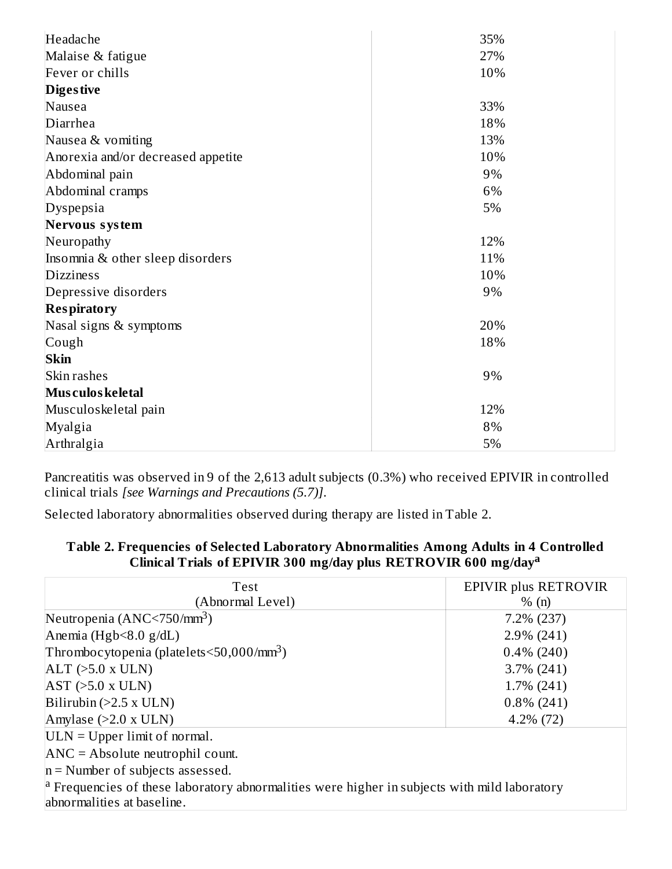| Headache                           | 35% |
|------------------------------------|-----|
| Malaise & fatigue                  | 27% |
| Fever or chills                    | 10% |
| <b>Diges tive</b>                  |     |
| Nausea                             | 33% |
| Diarrhea                           | 18% |
| Nausea & vomiting                  | 13% |
| Anorexia and/or decreased appetite | 10% |
| Abdominal pain                     | 9%  |
| Abdominal cramps                   | 6%  |
| Dyspepsia                          | 5%  |
| Nervous system                     |     |
| Neuropathy                         | 12% |
| Insomnia & other sleep disorders   | 11% |
| <b>Dizziness</b>                   | 10% |
| Depressive disorders               | 9%  |
| <b>Respiratory</b>                 |     |
| Nasal signs & symptoms             | 20% |
| Cough                              | 18% |
| <b>Skin</b>                        |     |
| Skin rashes                        | 9%  |
| Mus culos keletal                  |     |
| Musculoskeletal pain               | 12% |
| Myalgia                            | 8%  |
| Arthralgia                         | 5%  |

Pancreatitis was observed in 9 of the 2,613 adult subjects (0.3%) who received EPIVIR in controlled clinical trials *[see Warnings and Precautions (5.7)]*.

Selected laboratory abnormalities observed during therapy are listed in Table 2.

#### **Table 2. Frequencies of Selected Laboratory Abnormalities Among Adults in 4 Controlled Clinical Trials of EPIVIR 300 mg/day plus RETROVIR 600 mg/day a**

| Test                                                                                                                                          | <b>EPIVIR plus RETROVIR</b> |  |  |  |
|-----------------------------------------------------------------------------------------------------------------------------------------------|-----------------------------|--|--|--|
| (Abnormal Level)                                                                                                                              | % (n)                       |  |  |  |
| Neutropenia $(ANC < 750/mm3)$                                                                                                                 | 7.2% (237)                  |  |  |  |
| Anemia (Hgb $<8.0$ g/dL)                                                                                                                      | $2.9\%$ (241)               |  |  |  |
| Thrombocytopenia (platelets $\leq$ 50,000/mm <sup>3</sup> )                                                                                   | $0.4\%$ (240)               |  |  |  |
| $ALT$ (>5.0 x ULN)                                                                                                                            | $3.7\%$ (241)               |  |  |  |
| $AST$ ( $>5.0$ x ULN)                                                                                                                         | $1.7\%$ (241)               |  |  |  |
| Bilirubin (>2.5 x ULN)                                                                                                                        | $0.8\%$ (241)               |  |  |  |
| Amylase $(>2.0 \times ULN)$                                                                                                                   | $4.2\%$ (72)                |  |  |  |
| $ ULN = Upper limit of normal.$                                                                                                               |                             |  |  |  |
| $\angle$ ANC = Absolute neutrophil count.                                                                                                     |                             |  |  |  |
| $n =$ Number of subjects assessed.                                                                                                            |                             |  |  |  |
| $\vert$ <sup>a</sup> Frequencies of these laboratory abnormalities were higher in subjects with mild laboratory<br>abnormalities at baseline. |                             |  |  |  |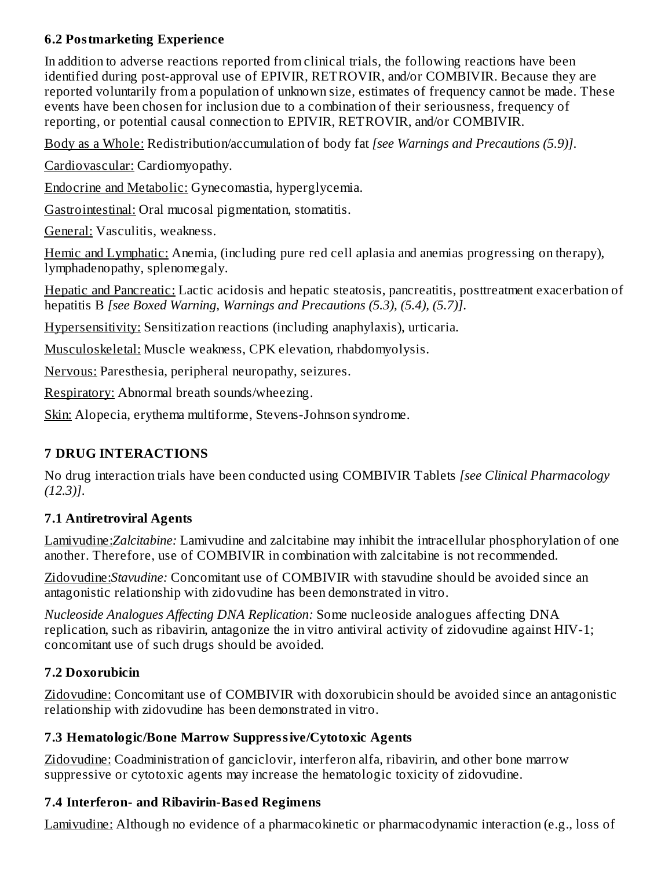## **6.2 Postmarketing Experience**

In addition to adverse reactions reported from clinical trials, the following reactions have been identified during post-approval use of EPIVIR, RETROVIR, and/or COMBIVIR. Because they are reported voluntarily from a population of unknown size, estimates of frequency cannot be made. These events have been chosen for inclusion due to a combination of their seriousness, frequency of reporting, or potential causal connection to EPIVIR, RETROVIR, and/or COMBIVIR.

Body as a Whole: Redistribution/accumulation of body fat *[see Warnings and Precautions (5.9)]*.

Cardiovascular: Cardiomyopathy.

Endocrine and Metabolic: Gynecomastia, hyperglycemia.

Gastrointestinal: Oral mucosal pigmentation, stomatitis.

General: Vasculitis, weakness.

Hemic and Lymphatic: Anemia, (including pure red cell aplasia and anemias progressing on therapy), lymphadenopathy, splenomegaly.

Hepatic and Pancreatic: Lactic acidosis and hepatic steatosis, pancreatitis, posttreatment exacerbation of hepatitis B *[see Boxed Warning, Warnings and Precautions (5.3), (5.4), (5.7)]*.

Hypersensitivity: Sensitization reactions (including anaphylaxis), urticaria.

Musculoskeletal: Muscle weakness, CPK elevation, rhabdomyolysis.

Nervous: Paresthesia, peripheral neuropathy, seizures.

Respiratory: Abnormal breath sounds/wheezing.

Skin: Alopecia, erythema multiforme, Stevens-Johnson syndrome.

## **7 DRUG INTERACTIONS**

No drug interaction trials have been conducted using COMBIVIR Tablets *[see Clinical Pharmacology (12.3)]*.

## **7.1 Antiretroviral Agents**

Lamivudine:*Zalcitabine:* Lamivudine and zalcitabine may inhibit the intracellular phosphorylation of one another. Therefore, use of COMBIVIR in combination with zalcitabine is not recommended.

Zidovudine:*Stavudine:* Concomitant use of COMBIVIR with stavudine should be avoided since an antagonistic relationship with zidovudine has been demonstrated in vitro.

*Nucleoside Analogues Affecting DNA Replication:* Some nucleoside analogues affecting DNA replication, such as ribavirin, antagonize the in vitro antiviral activity of zidovudine against HIV-1; concomitant use of such drugs should be avoided.

# **7.2 Doxorubicin**

Zidovudine: Concomitant use of COMBIVIR with doxorubicin should be avoided since an antagonistic relationship with zidovudine has been demonstrated in vitro.

## **7.3 Hematologic/Bone Marrow Suppressive/Cytotoxic Agents**

Zidovudine: Coadministration of ganciclovir, interferon alfa, ribavirin, and other bone marrow suppressive or cytotoxic agents may increase the hematologic toxicity of zidovudine.

## **7.4 Interferon- and Ribavirin-Bas ed Regimens**

Lamivudine: Although no evidence of a pharmacokinetic or pharmacodynamic interaction (e.g., loss of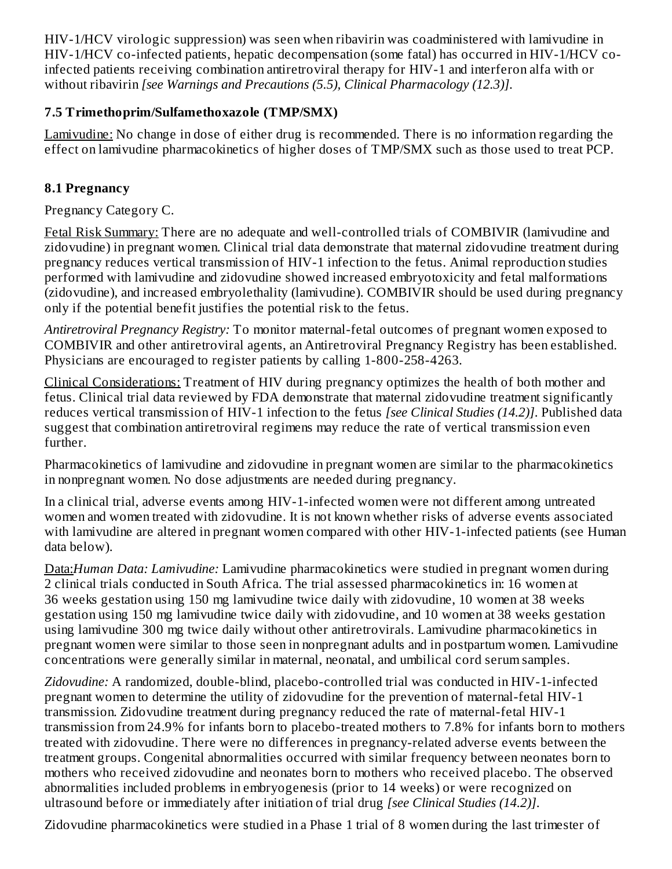HIV-1/HCV virologic suppression) was seen when ribavirin was coadministered with lamivudine in HIV-1/HCV co-infected patients, hepatic decompensation (some fatal) has occurred in HIV-1/HCV coinfected patients receiving combination antiretroviral therapy for HIV-1 and interferon alfa with or without ribavirin *[see Warnings and Precautions (5.5), Clinical Pharmacology (12.3)]*.

## **7.5 Trimethoprim/Sulfamethoxazole (TMP/SMX)**

Lamivudine: No change in dose of either drug is recommended. There is no information regarding the effect on lamivudine pharmacokinetics of higher doses of TMP/SMX such as those used to treat PCP.

## **8.1 Pregnancy**

Pregnancy Category C.

Fetal Risk Summary: There are no adequate and well-controlled trials of COMBIVIR (lamivudine and zidovudine) in pregnant women. Clinical trial data demonstrate that maternal zidovudine treatment during pregnancy reduces vertical transmission of HIV-1 infection to the fetus. Animal reproduction studies performed with lamivudine and zidovudine showed increased embryotoxicity and fetal malformations (zidovudine), and increased embryolethality (lamivudine). COMBIVIR should be used during pregnancy only if the potential benefit justifies the potential risk to the fetus.

*Antiretroviral Pregnancy Registry:* To monitor maternal-fetal outcomes of pregnant women exposed to COMBIVIR and other antiretroviral agents, an Antiretroviral Pregnancy Registry has been established. Physicians are encouraged to register patients by calling 1-800-258-4263.

Clinical Considerations: Treatment of HIV during pregnancy optimizes the health of both mother and fetus. Clinical trial data reviewed by FDA demonstrate that maternal zidovudine treatment significantly reduces vertical transmission of HIV-1 infection to the fetus *[see Clinical Studies (14.2)]*. Published data suggest that combination antiretroviral regimens may reduce the rate of vertical transmission even further.

Pharmacokinetics of lamivudine and zidovudine in pregnant women are similar to the pharmacokinetics in nonpregnant women. No dose adjustments are needed during pregnancy.

In a clinical trial, adverse events among HIV-1-infected women were not different among untreated women and women treated with zidovudine. It is not known whether risks of adverse events associated with lamivudine are altered in pregnant women compared with other HIV-1-infected patients (see Human data below).

Data:*Human Data: Lamivudine:* Lamivudine pharmacokinetics were studied in pregnant women during 2 clinical trials conducted in South Africa. The trial assessed pharmacokinetics in: 16 women at 36 weeks gestation using 150 mg lamivudine twice daily with zidovudine, 10 women at 38 weeks gestation using 150 mg lamivudine twice daily with zidovudine, and 10 women at 38 weeks gestation using lamivudine 300 mg twice daily without other antiretrovirals. Lamivudine pharmacokinetics in pregnant women were similar to those seen in nonpregnant adults and in postpartum women. Lamivudine concentrations were generally similar in maternal, neonatal, and umbilical cord serum samples.

*Zidovudine:* A randomized, double-blind, placebo-controlled trial was conducted in HIV-1-infected pregnant women to determine the utility of zidovudine for the prevention of maternal-fetal HIV-1 transmission. Zidovudine treatment during pregnancy reduced the rate of maternal-fetal HIV-1 transmission from 24.9% for infants born to placebo-treated mothers to 7.8% for infants born to mothers treated with zidovudine. There were no differences in pregnancy-related adverse events between the treatment groups. Congenital abnormalities occurred with similar frequency between neonates born to mothers who received zidovudine and neonates born to mothers who received placebo. The observed abnormalities included problems in embryogenesis (prior to 14 weeks) or were recognized on ultrasound before or immediately after initiation of trial drug *[see Clinical Studies (14.2)]*.

Zidovudine pharmacokinetics were studied in a Phase 1 trial of 8 women during the last trimester of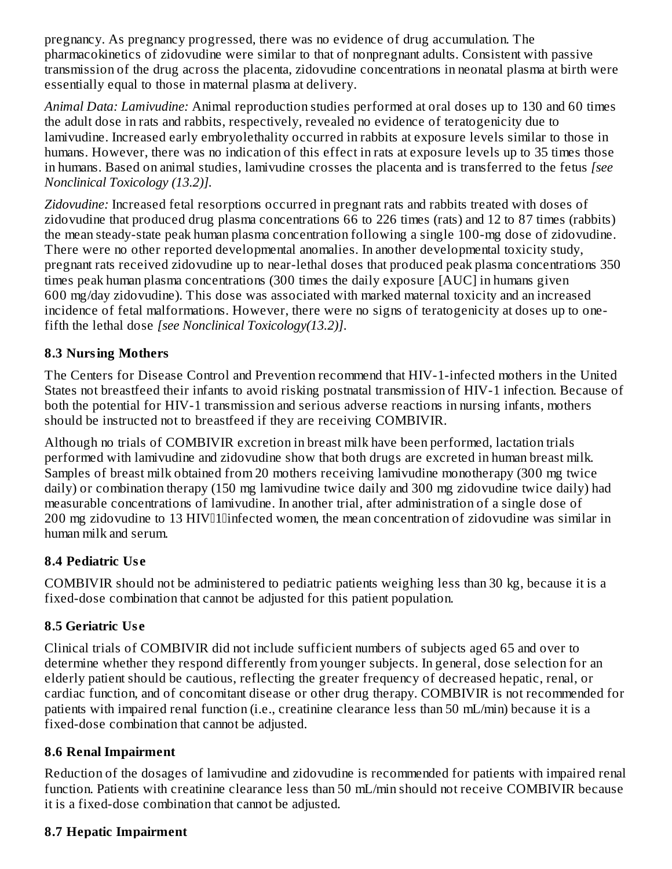pregnancy. As pregnancy progressed, there was no evidence of drug accumulation. The pharmacokinetics of zidovudine were similar to that of nonpregnant adults. Consistent with passive transmission of the drug across the placenta, zidovudine concentrations in neonatal plasma at birth were essentially equal to those in maternal plasma at delivery.

*Animal Data: Lamivudine:* Animal reproduction studies performed at oral doses up to 130 and 60 times the adult dose in rats and rabbits, respectively, revealed no evidence of teratogenicity due to lamivudine. Increased early embryolethality occurred in rabbits at exposure levels similar to those in humans. However, there was no indication of this effect in rats at exposure levels up to 35 times those in humans. Based on animal studies, lamivudine crosses the placenta and is transferred to the fetus *[see Nonclinical Toxicology (13.2)].*

*Zidovudine:* Increased fetal resorptions occurred in pregnant rats and rabbits treated with doses of zidovudine that produced drug plasma concentrations 66 to 226 times (rats) and 12 to 87 times (rabbits) the mean steady-state peak human plasma concentration following a single 100-mg dose of zidovudine. There were no other reported developmental anomalies. In another developmental toxicity study, pregnant rats received zidovudine up to near-lethal doses that produced peak plasma concentrations 350 times peak human plasma concentrations (300 times the daily exposure [AUC] in humans given 600 mg/day zidovudine). This dose was associated with marked maternal toxicity and an increased incidence of fetal malformations. However, there were no signs of teratogenicity at doses up to onefifth the lethal dose *[see Nonclinical Toxicology(13.2)]*.

## **8.3 Nursing Mothers**

The Centers for Disease Control and Prevention recommend that HIV-1-infected mothers in the United States not breastfeed their infants to avoid risking postnatal transmission of HIV-1 infection. Because of both the potential for HIV-1 transmission and serious adverse reactions in nursing infants, mothers should be instructed not to breastfeed if they are receiving COMBIVIR.

Although no trials of COMBIVIR excretion in breast milk have been performed, lactation trials performed with lamivudine and zidovudine show that both drugs are excreted in human breast milk. Samples of breast milk obtained from 20 mothers receiving lamivudine monotherapy (300 mg twice daily) or combination therapy (150 mg lamivudine twice daily and 300 mg zidovudine twice daily) had measurable concentrations of lamivudine. In another trial, after administration of a single dose of 200 mg zidovudine to 13 HIV<sup>I</sup>llinfected women, the mean concentration of zidovudine was similar in human milk and serum.

### **8.4 Pediatric Us e**

COMBIVIR should not be administered to pediatric patients weighing less than 30 kg, because it is a fixed-dose combination that cannot be adjusted for this patient population.

## **8.5 Geriatric Us e**

Clinical trials of COMBIVIR did not include sufficient numbers of subjects aged 65 and over to determine whether they respond differently from younger subjects. In general, dose selection for an elderly patient should be cautious, reflecting the greater frequency of decreased hepatic, renal, or cardiac function, and of concomitant disease or other drug therapy. COMBIVIR is not recommended for patients with impaired renal function (i.e., creatinine clearance less than 50 mL/min) because it is a fixed-dose combination that cannot be adjusted.

### **8.6 Renal Impairment**

Reduction of the dosages of lamivudine and zidovudine is recommended for patients with impaired renal function. Patients with creatinine clearance less than 50 mL/min should not receive COMBIVIR because it is a fixed-dose combination that cannot be adjusted*.*

### **8.7 Hepatic Impairment**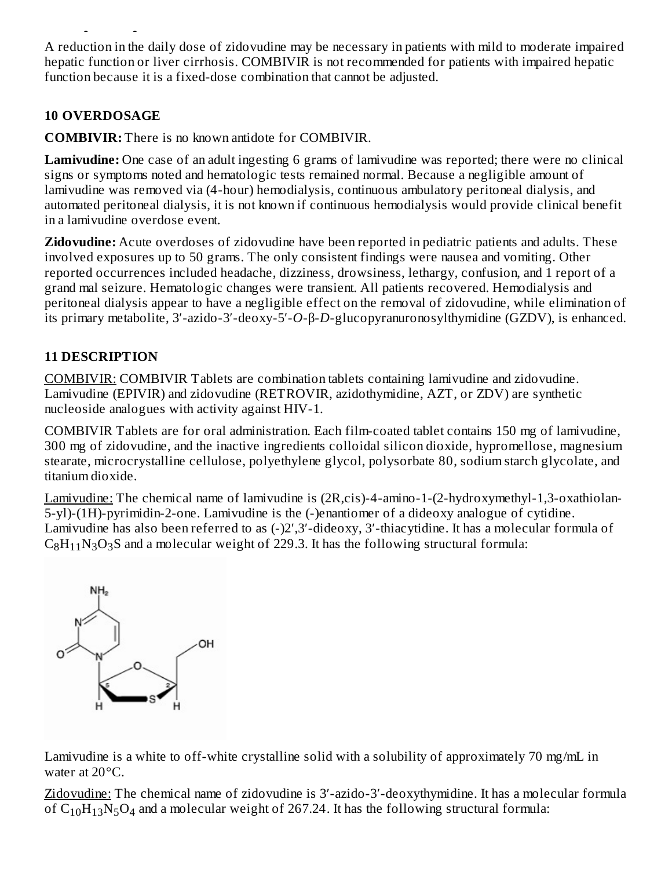A reduction in the daily dose of zidovudine may be necessary in patients with mild to moderate impaired hepatic function or liver cirrhosis. COMBIVIR is not recommended for patients with impaired hepatic function because it is a fixed-dose combination that cannot be adjusted.

## **10 OVERDOSAGE**

**8.7 Hepatic Impairment**

**COMBIVIR:** There is no known antidote for COMBIVIR.

**Lamivudine:** One case of an adult ingesting 6 grams of lamivudine was reported; there were no clinical signs or symptoms noted and hematologic tests remained normal. Because a negligible amount of lamivudine was removed via (4-hour) hemodialysis, continuous ambulatory peritoneal dialysis, and automated peritoneal dialysis, it is not known if continuous hemodialysis would provide clinical benefit in a lamivudine overdose event.

**Zidovudine:** Acute overdoses of zidovudine have been reported in pediatric patients and adults. These involved exposures up to 50 grams. The only consistent findings were nausea and vomiting. Other reported occurrences included headache, dizziness, drowsiness, lethargy, confusion, and 1 report of a grand mal seizure. Hematologic changes were transient. All patients recovered. Hemodialysis and peritoneal dialysis appear to have a negligible effect on the removal of zidovudine, while elimination of its primary metabolite, 3′-azido-3′-deoxy-5′-*O*-β-*D*-glucopyranuronosylthymidine (GZDV), is enhanced.

## **11 DESCRIPTION**

COMBIVIR: COMBIVIR Tablets are combination tablets containing lamivudine and zidovudine. Lamivudine (EPIVIR) and zidovudine (RETROVIR, azidothymidine, AZT, or ZDV) are synthetic nucleoside analogues with activity against HIV-1.

COMBIVIR Tablets are for oral administration. Each film-coated tablet contains 150 mg of lamivudine, 300 mg of zidovudine, and the inactive ingredients colloidal silicon dioxide, hypromellose, magnesium stearate, microcrystalline cellulose, polyethylene glycol, polysorbate 80, sodium starch glycolate, and titanium dioxide.

Lamivudine: The chemical name of lamivudine is (2R,cis)-4-amino-1-(2-hydroxymethyl-1,3-oxathiolan-5-yl)-(1H)-pyrimidin-2-one. Lamivudine is the (-)enantiomer of a dideoxy analogue of cytidine. Lamivudine has also been referred to as (-)2′,3′-dideoxy, 3′-thiacytidine. It has a molecular formula of  $C_8H_{11}N_3O_3S$  and a molecular weight of 229.3. It has the following structural formula:



Lamivudine is a white to off-white crystalline solid with a solubility of approximately 70 mg/mL in water at 20°C.

Zidovudine: The chemical name of zidovudine is 3′-azido-3′-deoxythymidine. It has a molecular formula of  $C_{10}H_{13}N_5O_4$  and a molecular weight of 267.24. It has the following structural formula: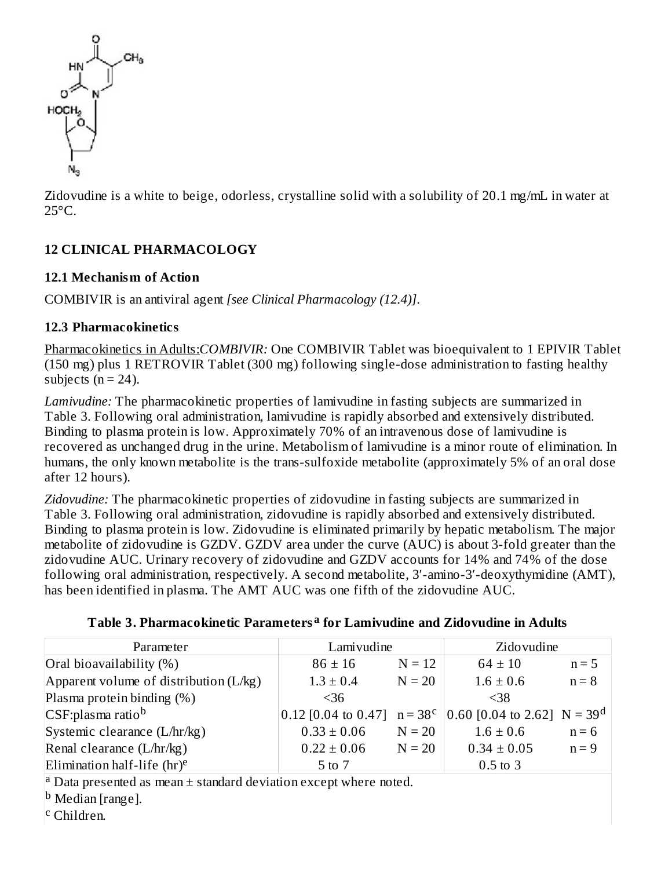

Zidovudine is a white to beige, odorless, crystalline solid with a solubility of 20.1 mg/mL in water at 25°C.

## **12 CLINICAL PHARMACOLOGY**

## **12.1 Mechanism of Action**

COMBIVIR is an antiviral agent *[see Clinical Pharmacology (12.4)]*.

## **12.3 Pharmacokinetics**

Pharmacokinetics in Adults:*COMBIVIR:* One COMBIVIR Tablet was bioequivalent to 1 EPIVIR Tablet (150 mg) plus 1 RETROVIR Tablet (300 mg) following single-dose administration to fasting healthy subjects  $(n = 24)$ .

*Lamivudine:* The pharmacokinetic properties of lamivudine in fasting subjects are summarized in Table 3. Following oral administration, lamivudine is rapidly absorbed and extensively distributed. Binding to plasma protein is low. Approximately 70% of an intravenous dose of lamivudine is recovered as unchanged drug in the urine. Metabolism of lamivudine is a minor route of elimination. In humans, the only known metabolite is the trans-sulfoxide metabolite (approximately 5% of an oral dose after 12 hours).

*Zidovudine:* The pharmacokinetic properties of zidovudine in fasting subjects are summarized in Table 3. Following oral administration, zidovudine is rapidly absorbed and extensively distributed. Binding to plasma protein is low. Zidovudine is eliminated primarily by hepatic metabolism. The major metabolite of zidovudine is GZDV. GZDV area under the curve (AUC) is about 3-fold greater than the zidovudine AUC. Urinary recovery of zidovudine and GZDV accounts for 14% and 74% of the dose following oral administration, respectively. A second metabolite, 3′-amino-3′-deoxythymidine (AMT), has been identified in plasma. The AMT AUC was one fifth of the zidovudine AUC.

| Parameter                                | Lamivudine      |          | Zidovudine                                                      |         |
|------------------------------------------|-----------------|----------|-----------------------------------------------------------------|---------|
| Oral bioavailability (%)                 | $86 \pm 16$     | $N = 12$ | $64 \pm 10$                                                     | $n = 5$ |
| Apparent volume of distribution $(L/kg)$ | $1.3 \pm 0.4$   | $N = 20$ | $1.6 \pm 0.6$                                                   | $n = 8$ |
| Plasma protein binding (%)               | <36             |          | $<$ 38                                                          |         |
| CSF:plasma ratio <sup>b</sup>            |                 |          | 0.12 [0.04 to 0.47] $n = 38^c$   0.60 [0.04 to 2.62] $N = 39^d$ |         |
| Systemic clearance (L/hr/kg)             | $0.33 \pm 0.06$ | $N = 20$ | $1.6 \pm 0.6$                                                   | $n = 6$ |
| Renal clearance $(L/hr/kg)$              | $0.22 \pm 0.06$ | $N = 20$ | $0.34 \pm 0.05$                                                 | $n = 9$ |
| Elimination half-life $(hr)^e$           | 5 to 7          |          | $0.5$ to $3$                                                    |         |

**Table 3. Pharmacokinetic Parameters for Lamivudine and Zidovudine in Adults a**

<sup>a</sup> Data presented as mean  $\pm$  standard deviation except where noted.

<sup>b</sup> Median [range].

Children. c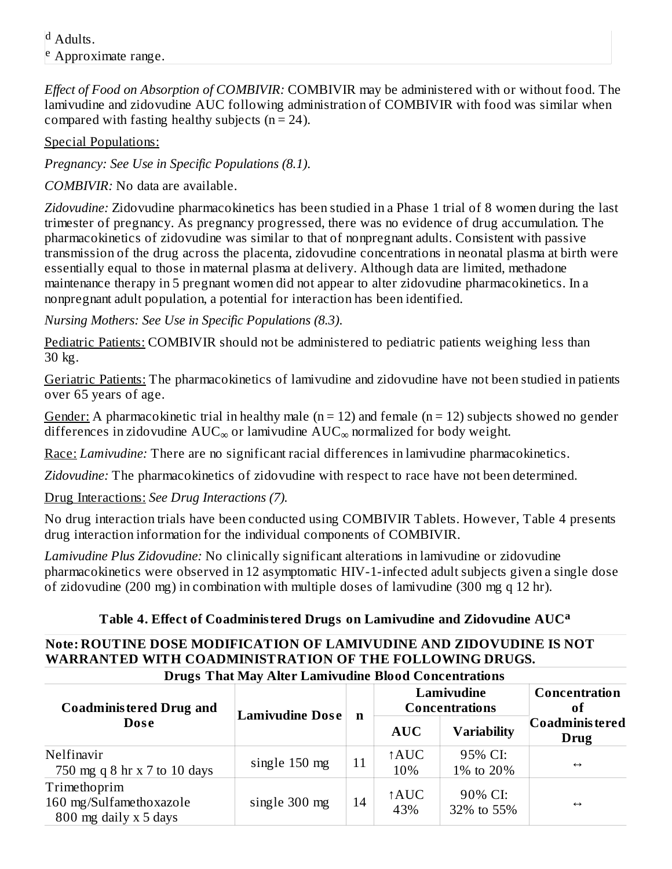<sup>d</sup> Adults. Approximate range. e

*Effect of Food on Absorption of COMBIVIR:* COMBIVIR may be administered with or without food. The lamivudine and zidovudine AUC following administration of COMBIVIR with food was similar when compared with fasting healthy subjects  $(n = 24)$ .

Special Populations:

*Pregnancy: See Use in Specific Populations (8.1)*.

*COMBIVIR:* No data are available.

*Zidovudine:* Zidovudine pharmacokinetics has been studied in a Phase 1 trial of 8 women during the last trimester of pregnancy. As pregnancy progressed, there was no evidence of drug accumulation. The pharmacokinetics of zidovudine was similar to that of nonpregnant adults. Consistent with passive transmission of the drug across the placenta, zidovudine concentrations in neonatal plasma at birth were essentially equal to those in maternal plasma at delivery. Although data are limited, methadone maintenance therapy in 5 pregnant women did not appear to alter zidovudine pharmacokinetics. In a nonpregnant adult population, a potential for interaction has been identified.

*Nursing Mothers: See Use in Specific Populations (8.3)*.

Pediatric Patients: COMBIVIR should not be administered to pediatric patients weighing less than 30 kg.

Geriatric Patients: The pharmacokinetics of lamivudine and zidovudine have not been studied in patients over 65 years of age.

Gender: A pharmacokinetic trial in healthy male ( $n = 12$ ) and female ( $n = 12$ ) subjects showed no gender differences in zidovudine  $\text{AUC}_\infty$  or lamivudine  $\text{AUC}_\infty$  normalized for body weight.

Race: *Lamivudine:* There are no significant racial differences in lamivudine pharmacokinetics.

*Zidovudine:* The pharmacokinetics of zidovudine with respect to race have not been determined.

Drug Interactions: *See Drug Interactions (7).*

No drug interaction trials have been conducted using COMBIVIR Tablets. However, Table 4 presents drug interaction information for the individual components of COMBIVIR.

*Lamivudine Plus Zidovudine:* No clinically significant alterations in lamivudine or zidovudine pharmacokinetics were observed in 12 asymptomatic HIV-1-infected adult subjects given a single dose of zidovudine (200 mg) in combination with multiple doses of lamivudine (300 mg q 12 hr).

## **Table 4. Effect of Coadministered Drugs on Lamivudine and Zidovudine AUC a**

## **Note: ROUTINE DOSE MODIFICATION OF LAMIVUDINE AND ZIDOVUDINE IS NOT WARRANTED WITH COADMINISTRATION OF THE FOLLOWING DRUGS.**

| <b>Drugs That May Alter Lamivudine Blood Concentrations</b>      |                        |             |             |                                     |                         |
|------------------------------------------------------------------|------------------------|-------------|-------------|-------------------------------------|-------------------------|
| <b>Coadministered Drug and</b>                                   | <b>Lamivudine Dose</b> |             |             | Lamivudine<br><b>Concentrations</b> | Concentration<br>of     |
| <b>Dose</b>                                                      |                        | $\mathbf n$ | <b>AUC</b>  | <b>Variability</b>                  | Coadminis tered<br>Drug |
| Nelfinavir<br>750 mg q 8 hr x 7 to 10 days                       | single 150 mg          | 11          | ↑AUC<br>10% | 95% CI:<br>1% to 20%                | $\leftrightarrow$       |
| Trimethoprim<br>160 mg/Sulfamethoxazole<br>800 mg daily x 5 days | single 300 mg          | 14          | ↑AUC<br>43% | 90% CI:<br>32% to 55%               | $\leftrightarrow$       |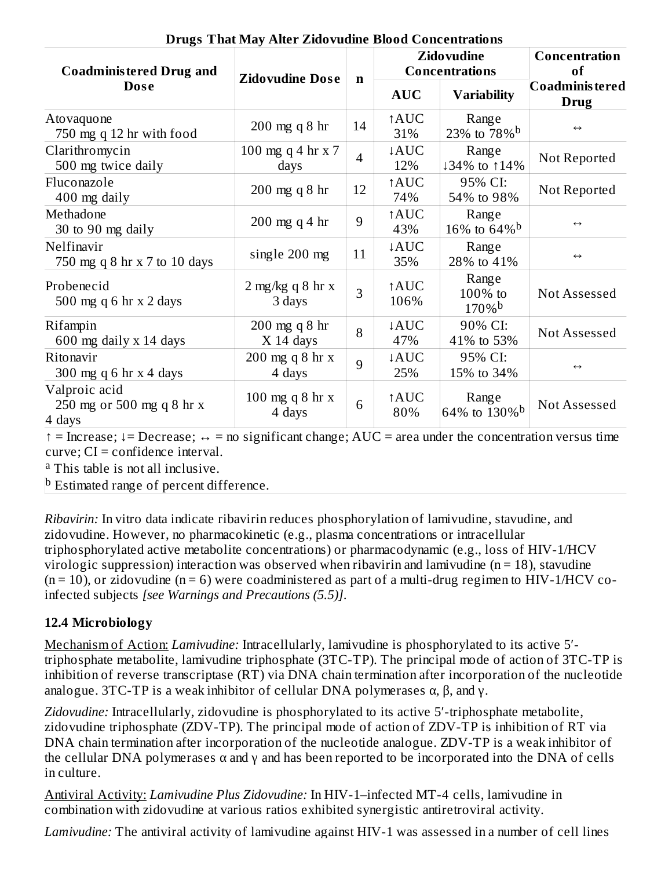| o<br><b>Coadministered Drug and</b>                  | <b>Zidovudine Dose</b>               |             |                         | <b>Zidovudine</b><br><b>Concentrations</b> | Concentration<br>of            |
|------------------------------------------------------|--------------------------------------|-------------|-------------------------|--------------------------------------------|--------------------------------|
| <b>Dose</b>                                          |                                      | $\mathbf n$ | <b>AUC</b>              | <b>Variability</b>                         | Coadminis tered<br><b>Drug</b> |
| Atovaquone<br>750 mg q 12 hr with food               | $200$ mg q $8$ hr                    | 14          | ↑AUC<br>31%             | Range<br>23% to $78\%$ <sup>b</sup>        | $\leftrightarrow$              |
| Clarithromycin<br>500 mg twice daily                 | 100 mg q 4 hr $x$ 7<br>days          | 4           | $\downarrow$ AUC<br>12% | Range<br>↓34% to ↑14%                      | Not Reported                   |
| Fluconazole<br>400 mg daily                          | $200$ mg q $8$ hr                    | 12          | ↑AUC<br>74%             | 95% CI:<br>54% to 98%                      | Not Reported                   |
| Methadone<br>30 to 90 mg daily                       | $200 \text{ mg}$ q 4 hr              | 9           | ↑AUC<br>43%             | Range<br>16\% to 64\% b                    | $\leftrightarrow$              |
| Nelfinavir<br>750 mg q 8 hr x 7 to 10 days           | single 200 mg                        | 11          | ↓AUC<br>35%             | Range<br>28% to 41%                        | $\leftrightarrow$              |
| Probenecid<br>500 mg q 6 hr $x$ 2 days               | $2 \text{ mg/kg}$ q 8 hr x<br>3 days | 3           | ↑AUC<br>106%            | Range<br>100% to<br>$170\%$ <sup>b</sup>   | Not Assessed                   |
| Rifampin<br>600 mg daily x 14 days                   | $200 \text{ mg}$ q 8 hr<br>X 14 days | 8           | ↓AUC<br>47%             | 90% CI:<br>41% to 53%                      | Not Assessed                   |
| Ritonavir<br>300 mg q 6 hr $x$ 4 days                | 200 mg q 8 hr x<br>4 days            | 9           | ↓AUC<br>25%             | 95% CI:<br>15% to 34%                      | $\leftrightarrow$              |
| Valproic acid<br>250 mg or 500 mg q 8 hr x<br>4 days | 100 mg q 8 hr $x$<br>4 days          | 6           | ↑AUC<br>80%             | Range<br>64% to 130% <sup>b</sup>          | Not Assessed                   |

**Drugs That May Alter Zidovudine Blood Concentrations**

 $\uparrow$  = Increase;  $\downarrow$  = Decrease;  $\leftrightarrow$  = no significant change; AUC = area under the concentration versus time curve; CI = confidence interval.

<sup>a</sup> This table is not all inclusive.

<sup>b</sup> Estimated range of percent difference.

*Ribavirin:* In vitro data indicate ribavirin reduces phosphorylation of lamivudine, stavudine, and zidovudine. However, no pharmacokinetic (e.g., plasma concentrations or intracellular triphosphorylated active metabolite concentrations) or pharmacodynamic (e.g., loss of HIV-1/HCV virologic suppression) interaction was observed when ribavirin and lamivudine ( $n = 18$ ), stavudine  $(n = 10)$ , or zidovudine  $(n = 6)$  were coadministered as part of a multi-drug regimen to HIV-1/HCV coinfected subjects *[see Warnings and Precautions (5.5)]*.

## **12.4 Microbiology**

Mechanism of Action: *Lamivudine:* Intracellularly, lamivudine is phosphorylated to its active 5′ triphosphate metabolite, lamivudine triphosphate (3TC-TP). The principal mode of action of 3TC-TP is inhibition of reverse transcriptase (RT) via DNA chain termination after incorporation of the nucleotide analogue. 3TC-TP is a weak inhibitor of cellular DNA polymerases  $\alpha$ ,  $\beta$ , and  $\gamma$ .

Zidovudine: Intracellularly, zidovudine is phosphorylated to its active 5'-triphosphate metabolite, zidovudine triphosphate (ZDV-TP). The principal mode of action of ZDV-TP is inhibition of RT via DNA chain termination after incorporation of the nucleotide analogue. ZDV-TP is a weak inhibitor of the cellular DNA polymerases  $\alpha$  and  $\gamma$  and has been reported to be incorporated into the DNA of cells in culture.

Antiviral Activity: *Lamivudine Plus Zidovudine:* In HIV-1–infected MT-4 cells, lamivudine in combination with zidovudine at various ratios exhibited synergistic antiretroviral activity.

*Lamivudine:* The antiviral activity of lamivudine against HIV-1 was assessed in a number of cell lines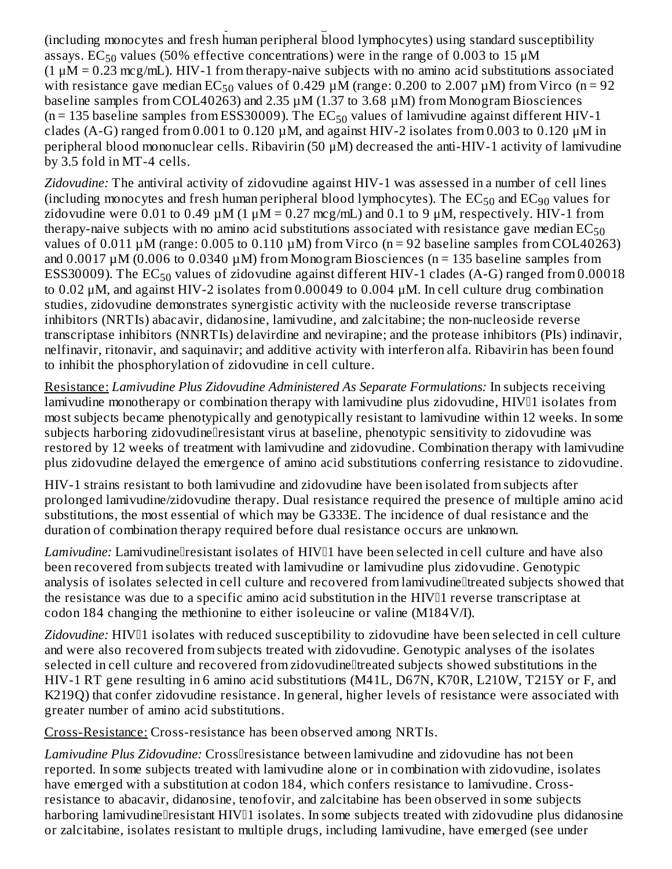*Lamivudine:* The antiviral activity of lamivudine against HIV-1 was assessed in a number of cell lines (including monocytes and fresh human peripheral blood lymphocytes) using standard susceptibility assays. EC $_{50}$  values (50% effective concentrations) were in the range of 0.003 to 15  $\rm \mu M$  $(1 \mu M = 0.23 \text{ mcg/mL})$ . HIV-1 from therapy-naive subjects with no amino acid substitutions associated with resistance gave median  $EC_{50}$  values of 0.429  $\mu$ M (range: 0.200 to 2.007  $\mu$ M) from Virco (n = 92 baseline samples from COL40263) and 2.35 µM (1.37 to 3.68 µM) from Monogram Biosciences (n = 135 baseline samples from ESS30009). The  $\mathrm{EC}_{50}$  values of lamivudine against different HIV-1 clades (A-G) ranged from 0.001 to 0.120  $\mu$ M, and against HIV-2 isolates from 0.003 to 0.120  $\mu$ M in peripheral blood mononuclear cells. Ribavirin (50 μM) decreased the anti-HIV-1 activity of lamivudine by 3.5 fold in MT-4 cells.

*Zidovudine:* The antiviral activity of zidovudine against HIV-1 was assessed in a number of cell lines (including monocytes and fresh human peripheral blood lymphocytes). The  $\mathrm{EC}_{50}$  and  $\mathrm{EC}_{90}$  values for zidovudine were 0.01 to 0.49  $\mu$ M (1  $\mu$ M = 0.27 mcg/mL) and 0.1 to 9  $\mu$ M, respectively. HIV-1 from therapy-naive subjects with no amino acid substitutions associated with resistance gave median  $\mathrm{EC}_{50}$ values of  $0.011 \mu M$  (range: 0.005 to 0.110  $\mu$ M) from Virco (n = 92 baseline samples from COL40263) and  $0.0017 \mu M$  (0.006 to 0.0340  $\mu$ M) from Monogram Biosciences (n = 135 baseline samples from ESS30009). The  $\mathrm{EC}_{50}$  values of zidovudine against different HIV-1 clades (A-G) ranged from 0.00018 to 0.02 μM, and against HIV-2 isolates from 0.00049 to 0.004 μM. In cell culture drug combination studies, zidovudine demonstrates synergistic activity with the nucleoside reverse transcriptase inhibitors (NRTIs) abacavir, didanosine, lamivudine, and zalcitabine; the non-nucleoside reverse transcriptase inhibitors (NNRTIs) delavirdine and nevirapine; and the protease inhibitors (PIs) indinavir, nelfinavir, ritonavir, and saquinavir; and additive activity with interferon alfa. Ribavirin has been found to inhibit the phosphorylation of zidovudine in cell culture.

Resistance: *Lamivudine Plus Zidovudine Administered As Separate Formulations:* In subjects receiving lamivudine monotherapy or combination therapy with lamivudine plus zidovudine, HIV<sup>[1]</sup> isolates from most subjects became phenotypically and genotypically resistant to lamivudine within 12 weeks. In some subjects harboring zidovudine<sup>n</sup>esistant virus at baseline, phenotypic sensitivity to zidovudine was restored by 12 weeks of treatment with lamivudine and zidovudine. Combination therapy with lamivudine plus zidovudine delayed the emergence of amino acid substitutions conferring resistance to zidovudine.

HIV-1 strains resistant to both lamivudine and zidovudine have been isolated from subjects after prolonged lamivudine/zidovudine therapy. Dual resistance required the presence of multiple amino acid substitutions, the most essential of which may be G333E. The incidence of dual resistance and the duration of combination therapy required before dual resistance occurs are unknown.

Lamivudine: Lamivudinellresistant isolates of HIV<sup>[1]</sup> have been selected in cell culture and have also been recovered from subjects treated with lamivudine or lamivudine plus zidovudine. Genotypic analysis of isolates selected in cell culture and recovered from lamivudineltreated subjects showed that the resistance was due to a specific amino acid substitution in the HIV<sup>I1</sup> reverse transcriptase at codon 184 changing the methionine to either isoleucine or valine (M184V/I).

Zidovudine: HIV<sup>I1</sup> isolates with reduced susceptibility to zidovudine have been selected in cell culture and were also recovered from subjects treated with zidovudine. Genotypic analyses of the isolates selected in cell culture and recovered from zidovudinelltreated subjects showed substitutions in the HIV-1 RT gene resulting in 6 amino acid substitutions (M41L, D67N, K70R, L210W, T215Y or F, and K219Q) that confer zidovudine resistance. In general, higher levels of resistance were associated with greater number of amino acid substitutions.

Cross-Resistance: Cross-resistance has been observed among NRTIs.

Lamivudine Plus Zidovudine: Cross<sup>[[</sup>resistance between lamivudine and zidovudine has not been reported. In some subjects treated with lamivudine alone or in combination with zidovudine, isolates have emerged with a substitution at codon 184, which confers resistance to lamivudine. Crossresistance to abacavir, didanosine, tenofovir, and zalcitabine has been observed in some subjects harboring lamivudinellresistant HIV<sup>[1]</sup> isolates. In some subjects treated with zidovudine plus didanosine or zalcitabine, isolates resistant to multiple drugs, including lamivudine, have emerged (see under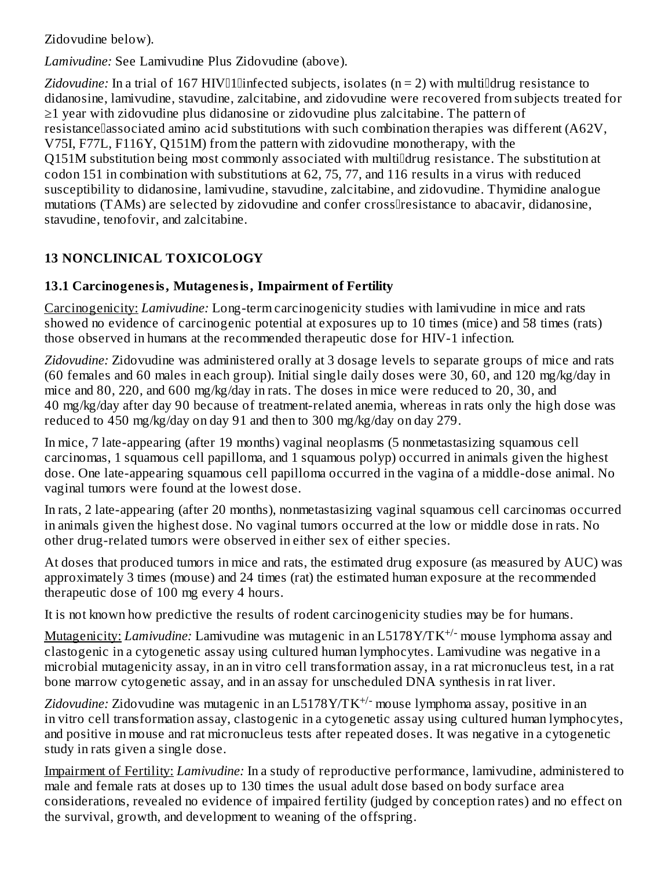Zidovudine below).

*Lamivudine:* See Lamivudine Plus Zidovudine (above).

Zidovudine: In a trial of 167 HIV<sup>I</sup>llinfected subjects, isolates (n = 2) with multi<sup>nd</sup>rug resistance to didanosine, lamivudine, stavudine, zalcitabine, and zidovudine were recovered from subjects treated for ≥1 year with zidovudine plus didanosine or zidovudine plus zalcitabine. The pattern of resistance associated amino acid substitutions with such combination therapies was different (A62V, V75I, F77L, F116Y, Q151M) from the pattern with zidovudine monotherapy, with the Q151M substitution being most commonly associated with multidrug resistance. The substitution at codon 151 in combination with substitutions at 62, 75, 77, and 116 results in a virus with reduced susceptibility to didanosine, lamivudine, stavudine, zalcitabine, and zidovudine. Thymidine analogue mutations (TAMs) are selected by zidovudine and confer crossllresistance to abacavir, didanosine, stavudine, tenofovir, and zalcitabine.

# **13 NONCLINICAL TOXICOLOGY**

# **13.1 Carcinogenesis, Mutagenesis, Impairment of Fertility**

Carcinogenicity: *Lamivudine:* Long-term carcinogenicity studies with lamivudine in mice and rats showed no evidence of carcinogenic potential at exposures up to 10 times (mice) and 58 times (rats) those observed in humans at the recommended therapeutic dose for HIV-1 infection.

*Zidovudine:* Zidovudine was administered orally at 3 dosage levels to separate groups of mice and rats (60 females and 60 males in each group). Initial single daily doses were 30, 60, and 120 mg/kg/day in mice and 80, 220, and 600 mg/kg/day in rats. The doses in mice were reduced to 20, 30, and 40 mg/kg/day after day 90 because of treatment-related anemia, whereas in rats only the high dose was reduced to 450 mg/kg/day on day 91 and then to 300 mg/kg/day on day 279.

In mice, 7 late-appearing (after 19 months) vaginal neoplasms (5 nonmetastasizing squamous cell carcinomas, 1 squamous cell papilloma, and 1 squamous polyp) occurred in animals given the highest dose. One late-appearing squamous cell papilloma occurred in the vagina of a middle-dose animal. No vaginal tumors were found at the lowest dose.

In rats, 2 late-appearing (after 20 months), nonmetastasizing vaginal squamous cell carcinomas occurred in animals given the highest dose. No vaginal tumors occurred at the low or middle dose in rats. No other drug-related tumors were observed in either sex of either species.

At doses that produced tumors in mice and rats, the estimated drug exposure (as measured by AUC) was approximately 3 times (mouse) and 24 times (rat) the estimated human exposure at the recommended therapeutic dose of 100 mg every 4 hours.

It is not known how predictive the results of rodent carcinogenicity studies may be for humans.

Mutagenicity: *Lamivudine:* Lamivudine was mutagenic in an L5178Y/TK<sup>+/-</sup> mouse lymphoma assay and clastogenic in a cytogenetic assay using cultured human lymphocytes. Lamivudine was negative in a microbial mutagenicity assay, in an in vitro cell transformation assay, in a rat micronucleus test, in a rat bone marrow cytogenetic assay, and in an assay for unscheduled DNA synthesis in rat liver.

Zidovudine: Zidovudine was mutagenic in an L5178Y/TK<sup>+/-</sup> mouse lymphoma assay, positive in an in vitro cell transformation assay, clastogenic in a cytogenetic assay using cultured human lymphocytes, and positive in mouse and rat micronucleus tests after repeated doses. It was negative in a cytogenetic study in rats given a single dose.

Impairment of Fertility: *Lamivudine:* In a study of reproductive performance, lamivudine, administered to male and female rats at doses up to 130 times the usual adult dose based on body surface area considerations, revealed no evidence of impaired fertility (judged by conception rates) and no effect on the survival, growth, and development to weaning of the offspring.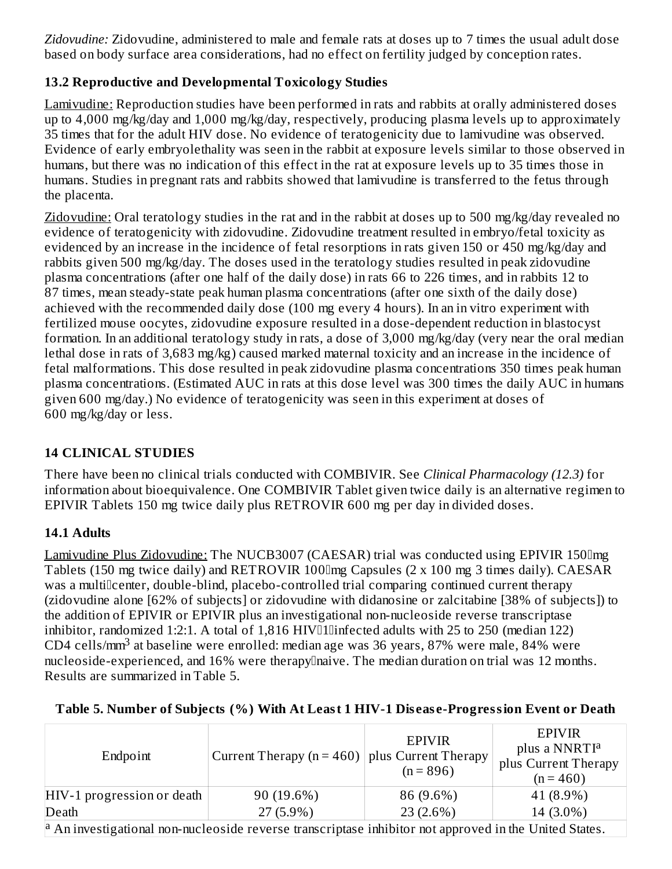*Zidovudine:* Zidovudine, administered to male and female rats at doses up to 7 times the usual adult dose based on body surface area considerations, had no effect on fertility judged by conception rates.

## **13.2 Reproductive and Developmental Toxicology Studies**

Lamivudine: Reproduction studies have been performed in rats and rabbits at orally administered doses up to 4,000 mg/kg/day and 1,000 mg/kg/day, respectively, producing plasma levels up to approximately 35 times that for the adult HIV dose. No evidence of teratogenicity due to lamivudine was observed. Evidence of early embryolethality was seen in the rabbit at exposure levels similar to those observed in humans, but there was no indication of this effect in the rat at exposure levels up to 35 times those in humans. Studies in pregnant rats and rabbits showed that lamivudine is transferred to the fetus through the placenta.

Zidovudine: Oral teratology studies in the rat and in the rabbit at doses up to 500 mg/kg/day revealed no evidence of teratogenicity with zidovudine. Zidovudine treatment resulted in embryo/fetal toxicity as evidenced by an increase in the incidence of fetal resorptions in rats given 150 or 450 mg/kg/day and rabbits given 500 mg/kg/day. The doses used in the teratology studies resulted in peak zidovudine plasma concentrations (after one half of the daily dose) in rats 66 to 226 times, and in rabbits 12 to 87 times, mean steady-state peak human plasma concentrations (after one sixth of the daily dose) achieved with the recommended daily dose (100 mg every 4 hours). In an in vitro experiment with fertilized mouse oocytes, zidovudine exposure resulted in a dose-dependent reduction in blastocyst formation. In an additional teratology study in rats, a dose of 3,000 mg/kg/day (very near the oral median lethal dose in rats of 3,683 mg/kg) caused marked maternal toxicity and an increase in the incidence of fetal malformations. This dose resulted in peak zidovudine plasma concentrations 350 times peak human plasma concentrations. (Estimated AUC in rats at this dose level was 300 times the daily AUC in humans given 600 mg/day.) No evidence of teratogenicity was seen in this experiment at doses of 600 mg/kg/day or less.

# **14 CLINICAL STUDIES**

There have been no clinical trials conducted with COMBIVIR. See *Clinical Pharmacology (12.3)* for information about bioequivalence. One COMBIVIR Tablet given twice daily is an alternative regimen to EPIVIR Tablets 150 mg twice daily plus RETROVIR 600 mg per day in divided doses.

# **14.1 Adults**

Lamivudine Plus Zidovudine: The NUCB3007 (CAESAR) trial was conducted using EPIVIR 150 lmg Tablets (150 mg twice daily) and RETROVIR 100mg Capsules (2 x 100 mg 3 times daily). CAESAR was a multillcenter, double-blind, placebo-controlled trial comparing continued current therapy (zidovudine alone [62% of subjects] or zidovudine with didanosine or zalcitabine [38% of subjects]) to the addition of EPIVIR or EPIVIR plus an investigational non-nucleoside reverse transcriptase inhibitor, randomized 1:2:1. A total of  $1,816$  HIV $\Box$ Ilinfected adults with 25 to 250 (median 122) CD4 cells/mm<sup>3</sup> at baseline were enrolled: median age was 36 years, 87% were male, 84% were nucleoside-experienced, and 16% were therapylnaive. The median duration on trial was 12 months. Results are summarized in Table 5.

| Endpoint                                                                                                                  | Current Therapy ( $n = 460$ )   plus Current Therapy | <b>EPIVIR</b><br>$(n = 896)$ | <b>EPIVIR</b><br>plus a NNRTI <sup>a</sup><br>plus Current Therapy<br>$(n = 460)$ |  |
|---------------------------------------------------------------------------------------------------------------------------|------------------------------------------------------|------------------------------|-----------------------------------------------------------------------------------|--|
| $HIV-1$ progression or death $\vert$                                                                                      | 90 (19.6%)                                           | 86 (9.6%)                    | 41 (8.9%)                                                                         |  |
| Death                                                                                                                     | $27(5.9\%)$                                          | 23(2.6%)                     | 14 (3.0%)                                                                         |  |
| $\vert$ <sup>a</sup> An investigational non-nucleoside reverse transcriptase inhibitor not approved in the United States. |                                                      |                              |                                                                                   |  |

# **Table 5. Number of Subjects (%) With At Least 1 HIV-1 Dis eas e-Progression Event or Death**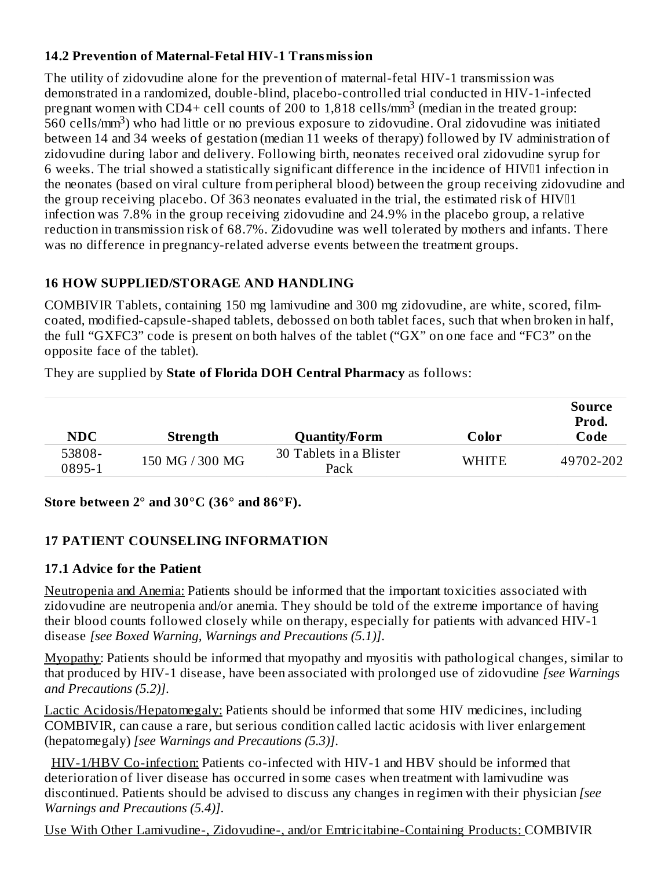## **14.2 Prevention of Maternal-Fetal HIV-1 Transmission**

The utility of zidovudine alone for the prevention of maternal-fetal HIV-1 transmission was demonstrated in a randomized, double-blind, placebo-controlled trial conducted in HIV-1-infected pregnant women with CD4+ cell counts of 200 to 1,818 cells/mm<sup>3</sup> (median in the treated group: -<br>560 cells/mm<sup>3</sup>) who had little or no previous exposure to zidovudine. Oral zidovudine was initiated between 14 and 34 weeks of gestation (median 11 weeks of therapy) followed by IV administration of zidovudine during labor and delivery. Following birth, neonates received oral zidovudine syrup for 6 weeks. The trial showed a statistically significant difference in the incidence of HIV<sup>[1]</sup> infection in the neonates (based on viral culture from peripheral blood) between the group receiving zidovudine and the group receiving placebo. Of 363 neonates evaluated in the trial, the estimated risk of  $HIVII$ infection was 7.8% in the group receiving zidovudine and 24.9% in the placebo group, a relative reduction in transmission risk of 68.7%. Zidovudine was well tolerated by mothers and infants. There was no difference in pregnancy-related adverse events between the treatment groups.

## **16 HOW SUPPLIED/STORAGE AND HANDLING**

COMBIVIR Tablets, containing 150 mg lamivudine and 300 mg zidovudine, are white, scored, filmcoated, modified-capsule-shaped tablets, debossed on both tablet faces, such that when broken in half, the full "GXFC3" code is present on both halves of the tablet ("GX" on one face and "FC3" on the opposite face of the tablet).

They are supplied by **State of Florida DOH Central Pharmacy** as follows:

| <b>NDC</b>       | Strength        | <b>Quantity/Form</b>            | Color        | Source<br>Prod.<br>Code |
|------------------|-----------------|---------------------------------|--------------|-------------------------|
| 53808-<br>0895-1 | 150 MG / 300 MG | 30 Tablets in a Blister<br>Pack | <b>WHITE</b> | 49702-202               |

### **Store between 2° and 30°C (36° and 86°F).**

### **17 PATIENT COUNSELING INFORMATION**

### **17.1 Advice for the Patient**

Neutropenia and Anemia: Patients should be informed that the important toxicities associated with zidovudine are neutropenia and/or anemia. They should be told of the extreme importance of having their blood counts followed closely while on therapy, especially for patients with advanced HIV-1 disease *[see Boxed Warning, Warnings and Precautions (5.1)]*.

Myopathy: Patients should be informed that myopathy and myositis with pathological changes, similar to that produced by HIV-1 disease, have been associated with prolonged use of zidovudine *[see Warnings and Precautions (5.2)]*.

Lactic Acidosis/Hepatomegaly: Patients should be informed that some HIV medicines, including COMBIVIR, can cause a rare, but serious condition called lactic acidosis with liver enlargement (hepatomegaly) *[see Warnings and Precautions (5.3)]*.

HIV-1/HBV Co-infection: Patients co-infected with HIV-1 and HBV should be informed that deterioration of liver disease has occurred in some cases when treatment with lamivudine was discontinued. Patients should be advised to discuss any changes in regimen with their physician *[see Warnings and Precautions (5.4)]*.

Use With Other Lamivudine-, Zidovudine-, and/or Emtricitabine-Containing Products: COMBIVIR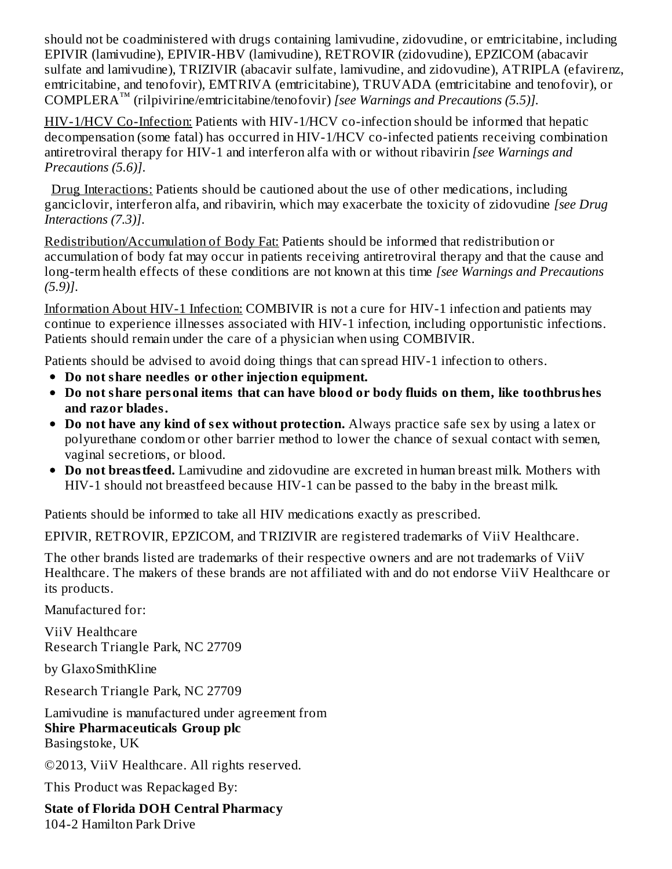should not be coadministered with drugs containing lamivudine, zidovudine, or emtricitabine, including EPIVIR (lamivudine), EPIVIR-HBV (lamivudine), RETROVIR (zidovudine), EPZICOM (abacavir sulfate and lamivudine), TRIZIVIR (abacavir sulfate, lamivudine, and zidovudine), ATRIPLA (efavirenz, emtricitabine, and tenofovir), EMTRIVA (emtricitabine), TRUVADA (emtricitabine and tenofovir), or COMPLERA (rilpivirine/emtricitabine/tenofovir) *[see Warnings and Precautions (5.5)].* ™

HIV-1/HCV Co-Infection: Patients with HIV-1/HCV co-infection should be informed that hepatic decompensation (some fatal) has occurred in HIV-1/HCV co-infected patients receiving combination antiretroviral therapy for HIV-1 and interferon alfa with or without ribavirin *[see Warnings and Precautions (5.6)]*.

Drug Interactions: Patients should be cautioned about the use of other medications, including ganciclovir, interferon alfa, and ribavirin, which may exacerbate the toxicity of zidovudine *[see Drug Interactions (7.3)]*.

Redistribution/Accumulation of Body Fat: Patients should be informed that redistribution or accumulation of body fat may occur in patients receiving antiretroviral therapy and that the cause and long-term health effects of these conditions are not known at this time *[see Warnings and Precautions (5.9)]*.

Information About HIV-1 Infection: COMBIVIR is not a cure for HIV-1 infection and patients may continue to experience illnesses associated with HIV-1 infection, including opportunistic infections. Patients should remain under the care of a physician when using COMBIVIR.

Patients should be advised to avoid doing things that can spread HIV-1 infection to others.

- **Do not share needles or other injection equipment.**
- **Do not share personal items that can have blood or body fluids on them, like toothbrushes and razor blades.**
- **Do not have any kind of s ex without protection.** Always practice safe sex by using a latex or polyurethane condom or other barrier method to lower the chance of sexual contact with semen, vaginal secretions, or blood.
- **Do not breastfeed.** Lamivudine and zidovudine are excreted in human breast milk. Mothers with HIV-1 should not breastfeed because HIV-1 can be passed to the baby in the breast milk.

Patients should be informed to take all HIV medications exactly as prescribed.

EPIVIR, RETROVIR, EPZICOM, and TRIZIVIR are registered trademarks of ViiV Healthcare.

The other brands listed are trademarks of their respective owners and are not trademarks of ViiV Healthcare. The makers of these brands are not affiliated with and do not endorse ViiV Healthcare or its products.

Manufactured for:

ViiV Healthcare Research Triangle Park, NC 27709

by GlaxoSmithKline

Research Triangle Park, NC 27709

Lamivudine is manufactured under agreement from **Shire Pharmaceuticals Group plc** Basingstoke, UK

©2013, ViiV Healthcare. All rights reserved.

This Product was Repackaged By:

**State of Florida DOH Central Pharmacy** 104-2 Hamilton Park Drive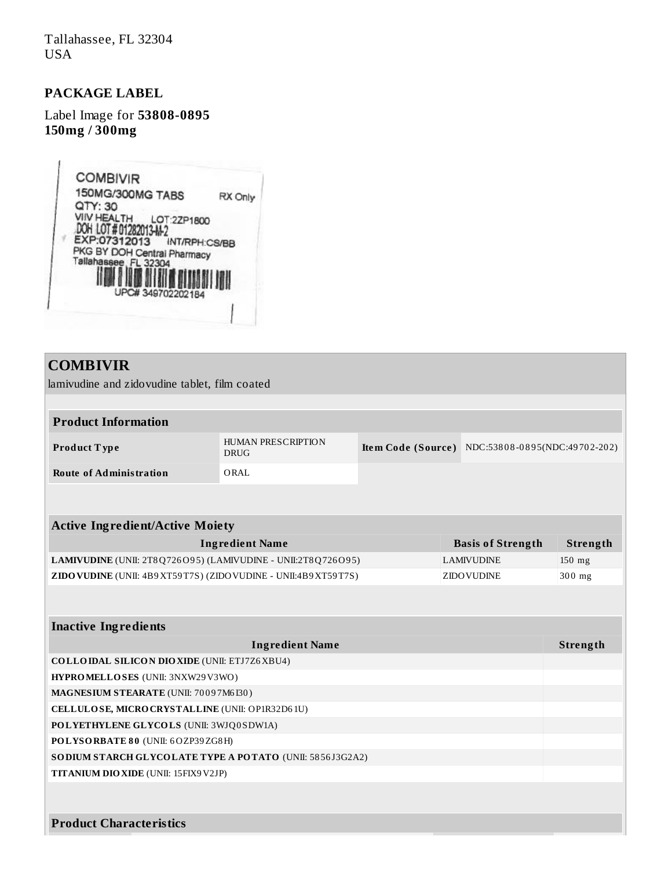Tallahassee, FL 32304 USA

#### **PACKAGE LABEL**

Label Image for **53808-0895 150mg / 300mg**



## **COMBIVIR**

lamivudine and zidovudine tablet, film coated

#### **Product Information**

| Product Type            | HUMAN PRESCRIPTION<br>DRUG | Item Code (Source) NDC:53808-0895(NDC:49702-202) |
|-------------------------|----------------------------|--------------------------------------------------|
| Route of Administration | ORAL                       |                                                  |

| <b>Active Ingredient/Active Moiety</b>                                       |                          |          |  |
|------------------------------------------------------------------------------|--------------------------|----------|--|
| Ingredient Name                                                              | <b>Basis of Strength</b> | Strength |  |
| <b>LAMIVUDINE</b> (UNII: $2T8Q726O95$ ) (LAMIVUDINE - UNII: $2T8Q726O95$ )   | LAMIVUDINE               | $150$ mg |  |
| <b>ZIDO VUDINE</b> (UNII: $4B9XT59T7S$ ) (ZIDO VUDINE - UNII: $4B9XT59T7S$ ) | <b>ZIDO VUDINE</b>       | $300$ mg |  |

| <b>Inactive Ingredients</b>                                     |          |
|-----------------------------------------------------------------|----------|
| <b>Ingredient Name</b>                                          | Strength |
| <b>COLLOIDAL SILICON DIOXIDE (UNII: ETJ7Z6XBU4)</b>             |          |
| <b>HYPROMELLOSES</b> (UNII: 3NXW29V3WO)                         |          |
| <b>MAGNESIUM STEARATE (UNII: 70097M6I30)</b>                    |          |
| CELLULOSE, MICRO CRYSTALLINE (UNII: OP1R32D61U)                 |          |
| POLYETHYLENE GLYCOLS (UNII: 3WJQ0SDW1A)                         |          |
| POLYSORBATE 80 (UNII: 6OZP39ZG8H)                               |          |
| <b>SODIUM STARCH GLYCOLATE TYPE A POTATO (UNII: 5856J3G2A2)</b> |          |
| <b>TITANIUM DIO XIDE (UNII: 15FIX9 V2JP)</b>                    |          |
|                                                                 |          |
|                                                                 |          |
| <b>Product Characteristics</b>                                  |          |